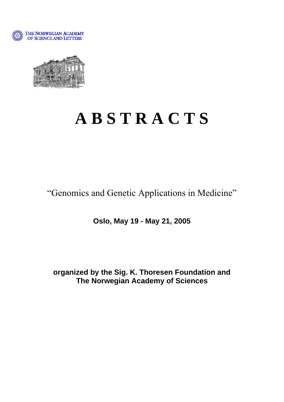

# **A B S T R A C T S**

"Genomics and Genetic Applications in Medicine"

**Oslo, May 19 - May 21, 2005** 

**organized by the Sig. K. Thoresen Foundation and The Norwegian Academy of Sciences**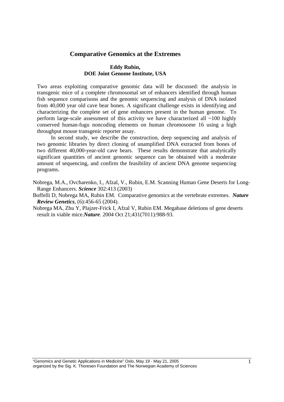## **Comparative Genomics at the Extremes**

#### **Eddy Rubin, DOE Joint Genome Institute, USA**

Two areas exploiting comparative genomic data will be discussed: the analysis in transgenic mice of a complete chromosomal set of enhancers identified through human fish sequence comparisons and the genomic sequencing and analysis of DNA isolated from 40,000 year old cave bear bones. A significant challenge exists in identifying and characterizing the complete set of gene enhancers present in the human genome. To perform large-scale assessment of this activity we have characterized all ~100 highly conserved human-fugu noncoding elements on human chromosome 16 using a high throughput mouse transgenic reporter assay.

 In second study, we describe the construction, deep sequencing and analysis of two genomic libraries by direct cloning of unamplified DNA extracted from bones of two different 40,000-year-old cave bears. These results demonstrate that analytically significant quantities of ancient genomic sequence can be obtained with a moderate amount of sequencing, and confirm the feasibility of ancient DNA genome sequencing programs.

Nobrega, M.A., Ovcharenko, I., Afzal, V., Rubin, E.M. Scanning Human Gene Deserts for Long-Range Enhancers. *Science* 302:413 (2003)

Boffelli D, Nobrega MA, Rubin EM. Comparative genomics at the vertebrate extremes. *Nature Review Genetics*, (6):456-65 (2004).

Nobrega MA, Zhu Y, Plajzer-Frick I, Afzal V, Rubin EM. Megabase deletions of gene deserts result in viable mice.*Nature*. 2004 Oct 21;431(7011):988-93.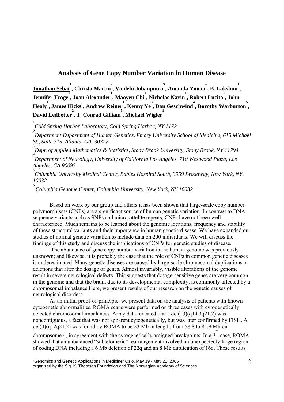## **Analysis of Gene Copy Number Variation in Human Disease**

**Jonathan Sebat 1 , Christa Martin 2 , Vaidehi Jobanputra 5 , Amanda Yonan 6 , B. Lakshmi 1 , Jennifer Troge 1 , Joan Alexander 1 , Maoyen Chi 1 , Nicholas Navin 1 , Robert Lucito 1 , John Healy 1 , James Hicks 1 , Andrew Reiner 1 , Kenny Ye 3 , Dan Geschwind 4 , Dorothy Warburton 5 ,**  David Ledbetter, T. Conrad Gilliam, Michael Wigler

1 *Cold Spring Harbor Laboratory, Cold Spring Harbor, NY 1172* 

*2 Department Department of Human Genetics, Emory University School of Medicine, 615 Michael St., Suite 315, Atlanta, GA 30322* 

*Dept. of Applied Mathematics & Statistics, Stony Brook University, Stony Brook, NY 11794* 

*4 Department of Neurology, University of California Los Angeles, 710 Westwood Plaza, Los Angeles, CA 90095 5*

*Columbia University Medical Center, Babies Hospital South, 3959 Broadway, New York, NY, 10032*  6

*Columbia Genome Center, Columbia University, New York, NY 10032*

Based on work by our group and others it has been shown that large-scale copy number polymorphisms (CNPs) are a significant source of human genetic variation. In contrast to DNA sequence variants such as SNPs and microsattelite repeats, CNPs have not been well characterized. Much remains to be learned about the genomic locations, frequency and stability of these structural variants and their importance in human genetic disease. We have expanded our studies of normal genetic variation to include data on 200 individuals. We will discuss the findings of this study and discuss the implications of CNPs for genetic studies of disease.

 The abundance of gene copy number variation in the human genome was previously unknown; and likewise, it is probably the case that the role of CNPs in common genetic diseases is underestimated. Many genetic diseases are caused by large-scale chromosomal duplications or deletions that alter the dosage of genes. Almost invariably, visible alterations of the genome result in severe neurological defects. This suggests that dosage-sensitive genes are very common in the genome and that the brain, due to its developmental complexity, is commonly affected by a chromosomal imbalance.Here, we present results of our research on the genetic causes of neurological disorders.

As an initial proof-of-principle, we present data on the analysis of patients with known cytogenetic abnormalities. ROMA scans were performed on three cases with cytogenetically detected chromosomal imbalances. Array data revealed that a del(13)(q14.3q21.2) was noncontiguous, a fact that was not apparent cytogenetically, but was later confirmed by FISH. A  $del(4)(q12q21.2)$  was found by ROMA to be 23 Mb in length, from 58.8 to 81.9 Mb on

chromosome 4, in agreement with the cytogenetically assigned breakpoints. In a  $3^{\text{rd}}$  case, ROMA showed that an unbalanced "subtelomeric" rearrangement involved an unexpectedly large region of coding DNA including a 6 Mb deletion of 22q and an 8 Mb duplication of 16q. These results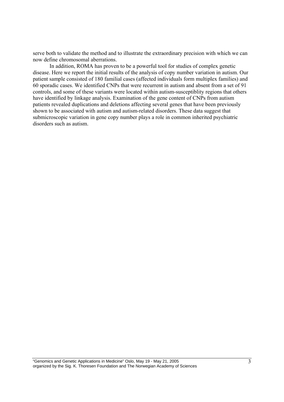serve both to validate the method and to illustrate the extraordinary precision with which we can now define chromosomal aberrations.

In addition, ROMA has proven to be a powerful tool for studies of complex genetic disease. Here we report the initial results of the analysis of copy number variation in autism. Our patient sample consisted of 180 familial cases (affected individuals form multiplex families) and 60 sporadic cases. We identified CNPs that were recurrent in autism and absent from a set of 91 controls, and some of these variants were located within autism-susceptiblity regions that others have identified by linkage analysis. Examination of the gene content of CNPs from autism patients revealed duplications and deletions affecting several genes that have been previously shown to be associated with autism and autism-related disorders. These data suggest that submicroscopic variation in gene copy number plays a role in common inherited psychiatric disorders such as autism.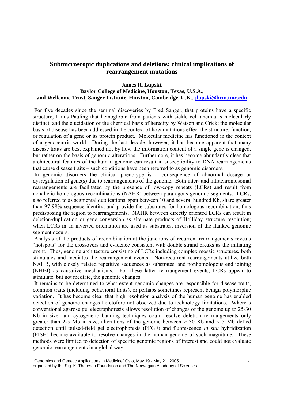# **Submicroscopic duplications and deletions: clinical implications of rearrangement mutations**

#### **James R. Lupski, Baylor College of Medicine, Houston, Texas, U.S.A., and Wellcome Trust, Sanger Institute, Hinxton, Cambridge, U.K., [jlupski@bcm.tmc.edu](mailto:jlupski@bcm.tmc.edu)**

For five decades since the seminal discoveries by Fred Sanger, that proteins have a specific structure, Linus Pauling that hemoglobin from patients with sickle cell anemia is molecularly distinct, and the elucidation of the chemical basis of heredity by Watson and Crick; the molecular basis of disease has been addressed in the context of how mutations effect the structure, function, or regulation of a gene or its protein product. Molecular medicine has functioned in the context of a genocentric world. During the last decade, however, it has become apparent that many disease traits are best explained not by how the information content of a single gene is changed, but rather on the basis of genomic alterations. Furthermore, it has become abundantly clear that architectural features of the human genome can result in susceptibility to DNA rearrangements that cause disease traits – such conditions have been referred to as genomic disorders.

 In genomic disorders the clinical phenotype is a consequence of abnormal dosage or dysregulation of gene(s) due to rearrangements of the genome. Both inter- and intrachromosomal rearrangements are facilitated by the presence of low-copy repeats (LCRs) and result from nonallelic homologous recombinations (NAHR) between paralogous genomic segments. LCRs, also referred to as segmental duplications, span between 10 and several hundred Kb, share greater than 97-98% sequence identity, and provide the substrates for homologous recombination, thus predisposing the region to rearrangements. NAHR between directly oriented LCRs can result in deletion/duplication or gene conversion as alternate products of Holliday structure resolution; when LCRs in an inverted orientation are used as substrates, inversion of the flanked genomic segment occurs.

 Analysis of the products of recombination at the junctions of recurrent rearrangements reveals "hotspots" for the crossovers and evidence consistent with double strand breaks as the initiating event. Thus, genome architecture consisting of LCRs including complex mosaic structures, both stimulates and mediates the rearrangement events. Non-recurrent rearrangements utilize both NAHR, with closely related repetitive sequences as substrates, and nonhomologous end joining (NHEJ) as causative mechanisms. For these latter rearrangement events, LCRs appear to stimulate, but not mediate, the genomic changes.

 It remains to be determined to what extent genomic changes are responsible for disease traits, common traits (including behavioral traits), or perhaps sometimes represent benign polymorphic variation. It has become clear that high resolution analysis of the human genome has enabled detection of genome changes heretofore not observed due to technology limitations. Whereas conventional agarose gel electrophoresis allows resolution of changes of the genome up to 25-30 Kb in size, and cytogenetic banding techniques could resolve deletion rearrangements only greater than 2-5 Mb in size, alterations of the genome between  $> 30$  Kb and  $< 5$  Mb defied detection until pulsed-field gel electrophoresis (PFGE) and fluorescence *in situ* hybridization (FISH) became available to resolve changes in the human genome of such magnitude. These methods were limited to detection of specific genomic regions of interest and could not evaluate genomic rearrangements in a global way.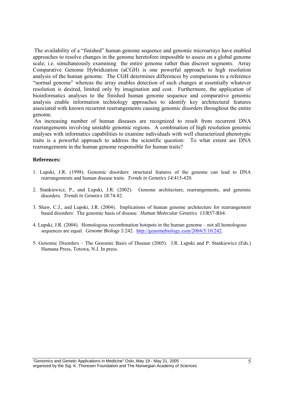The availability of a "finished" human genome sequence and genomic microarrays have enabled approaches to resolve changes in the genome heretofore impossible to assess on a global genome scale; i.e. simultaneously examining the entire genome rather than discreet segments. Array Comparative Genome Hybridization (aCGH) is one powerful approach to high resolution analysis of the human genome. The CGH determines differences by comparisons to a reference "normal genome" whereas the array enables detection of such changes at essentially whatever resolution is desired, limited only by imagination and cost. Furthermore, the application of bioinformatics analyses to the finished human genome sequence and comparative genomic analysis enable information technology approaches to identify key architectural features associated with known recurrent rearrangements causing genomic disorders throughout the entire genome.

 An increasing number of human diseases are recognized to result from recurrent DNA rearrangements involving unstable genomic regions. A combination of high resolution genomic analyses with informatics capabilities to examine individuals with well characterized phenotypic traits is a powerful approach to address the scientific question: To what extent are DNA rearrangements in the human genome responsible for human traits?

#### **References:**

- 1. Lupski, J.R. (1998). Genomic disorders: structural features of the genome can lead to DNA rearrangements and human disease traits. *Trends in Genetics 14*:415-420.
- 2. Stankiewicz, P., and Lupski, J.R. (2002). Genome architecture, rearrangements, and genomic disorders. *Trends in Genetics 18*:74-82.
- 3. Shaw, C.J., and Lupski, J.R. (2004). Implications of human genome architecture for rearrangement based disorders: The genomic basis of disease. *Human Molecular Genetics 13*:R57-R64.
- 4. Lupski, J.R. (2004). Homologous recombination hotspots in the human genome not all homologous sequences are equal. *Genome Biology 5*:242. [http://genomebiology.com/2004/5/10/242.](http://genomebiology.com/2004/5/10/242)
- 5. Genomic Disorders The Genomic Basis of Disease (2005). J.R. Lupski and P. Stankiewicz (Eds.) Humana Press, Totowa, N.J. In press.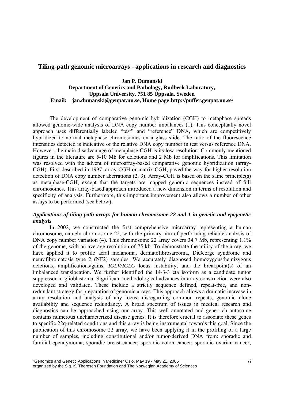## **Tiling-path genomic microarrays - applications in research and diagnostics**

### **Jan P. Dumanski Department of Genetics and Pathology, Rudbeck Laboratory, Uppsala University, 751 85 Uppsala, Sweden Email: jan.dumanski@genpat.uu.se, Home page:http://puffer.genpat.uu.se/**

The development of comparative genomic hybridization (CGH) to metaphase spreads allowed genome-wide analysis of DNA copy number imbalances (1). This conceptually novel approach uses differentially labeled "test" and "reference" DNA, which are competitively hybridized to normal metaphase chromosomes on a glass slide. The ratio of the fluorescence intensities detected is indicative of the relative DNA copy number in test versus reference DNA. However, the main disadvantage of metaphase-CGH is its low resolution. Commonly mentioned figures in the literature are 5-10 Mb for deletions and 2 Mb for amplifications. This limitation was resolved with the advent of microarray-based comparative genomic hybridization (array-CGH). First described in 1997, array-CGH or matrix-CGH, paved the way for higher resolution detection of DNA copy number aberrations (2, 3). Array-CGH is based on the same principle(s) as metaphase-CGH, except that the targets are mapped genomic sequences instead of full chromosomes. This array-based approach introduced a new dimension in terms of resolution and specificity of analysis. Furthermore, this important improvement also allows a number of other assays to be performed (see below).

#### *Applications of tiling-path arrays for human chromosome 22 and 1 in genetic and epigenetic analysis*

In 2002, we constructed the first comprehensive microarray representing a human chromosome, namely chromosome 22, with the primary aim of performing reliable analysis of DNA copy number variation (4). This chromosome 22 array covers 34.7 Mb, representing 1.1% of the genome, with an average resolution of 75 kb. To demonstrate the utility of the array, we have applied it to profile acral melanoma, dermatofibrosarcoma, DiGeorge syndrome and neurofibromatosis type 2 (NF2) samples. We accurately diagnosed homozygous/hemizygous deletions, amplifications/gains, *IGLV/IGLC* locus instability, and the breakpoint(s) of an imbalanced translocation. We further identified the 14-3-3 eta isoform as a candidate tumor suppressor in glioblastoma. Significant methodological advances in array construction were also developed and validated. These include a strictly sequence defined, repeat-free, and nonredundant strategy for preparation of genomic arrays. This approach allows a dramatic increase in array resolution and analysis of any locus; disregarding common repeats, genomic clone availability and sequence redundancy. A broad spectrum of issues in medical research and diagnostics can be approached using our array. This well annotated and gene-rich autosome contains numerous uncharacterized disease genes. It is therefore crucial to associate these genes to specific 22q-related conditions and this array is being instrumental towards this goal. Since the publication of this chromosome 22 array, we have been applying it in the profiling of a large number of samples, including constitutional and/or tumor-derived DNA from: sporadic and familial ependymoma; sporadic breast-cancer; sporadic colon cancer; sporadic ovarian cancer;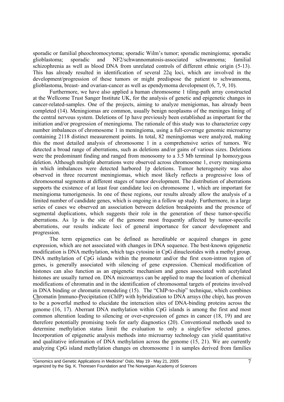sporadic or familial pheochromocytoma; sporadic Wilm's tumor; sporadic meningioma; sporadic glioblastoma; sporadic and NF2/schwannomatosis-associated schwannoma; familial schizophrenia as well as blood DNA from unrelated controls of different ethnic origin (5-13). This has already resulted in identification of several 22q loci, which are involved in the development/progression of these tumors or might predispose the patient to schwannoma, glioblastoma, breast- and ovarian-cancer as well as ependymoma development (6, 7, 9, 10).

Furthermore, we have also applied a human chromosome 1 tiling-path array constructed at the Wellcome Trust Sanger Institute UK, for the analysis of genetic and epigenetic changes in cancer-related-samples. One of the projects, aiming to analyze menigiomas, has already been completed (14). Meningiomas are common, usually benign neoplasms of the meninges lining of the central nervous system. Deletions of 1p have previously been established as important for the initiation and/or progression of meningioma. The rationale of this study was to characterize copy number imbalances of chromosome 1 in meningioma, using a full-coverage genomic microarray containing 2118 distinct measurement points. In total, 82 meningiomas were analyzed, making this the most detailed analysis of chromosome 1 in a comprehensive series of tumors. We detected a broad range of aberrations, such as deletions and/or gains of various sizes. Deletions were the predominant finding and ranged from monosomy to a 3.5 Mb terminal 1p homozygous deletion. Although multiple aberrations were observed across chromosome 1, every meningioma in which imbalances were detected harbored 1p deletions. Tumor heterogeneity was also observed in three recurrent meningiomas, which most likely reflects a progressive loss of chromosomal segments at different stages of tumor development. The distribution of aberrations supports the existence of at least four candidate loci on chromosome 1, which are important for meningioma tumorigenesis. In one of these regions, our results already allow the analysis of a limited number of candidate genes, which is ongoing in a follow up study. Furthermore, in a large series of cases we observed an association between deletion breakpoints and the presence of segmental duplications, which suggests their role in the generation of these tumor-specific aberrations. As 1p is the site of the genome most frequently affected by tumor-specific aberrations, our results indicate loci of general importance for cancer development and progression.

The term epigenetics can be defined as hereditable or acquired changes in gene expression, which are not associated with changes in DNA sequence. The best-known epigenetic modification is DNA methylation, which tags cytosine in CpG dinucleotides with a methyl group. DNA methylation of CpG islands within the promoter and/or the first exon-intron region of genes, is generally associated with silencing of gene expression. Chemical modification of histones can also function as an epigenetic mechanism and genes associated with acetylated histones are usually turned on. DNA microarrays can be applied to map the location of chemical modifications of chromatin and in the identification of chromosomal targets of proteins involved in DNA binding or chromatin remodeling (15). The "ChIP-to-chip" technique, which combines Chromatin Immuno-Precipitation (ChIP) with hybridization to DNA arrays (the chip), has proven to be a powerful method to elucidate the interaction sites of DNA-binding proteins across the genome (16, 17). Aberrant DNA methylation within CpG islands is among the first and most common alteration leading to silencing or over-expression of genes in cancer (18, 19) and are therefore potentially promising tools for early diagnostics (20). Conventional methods used to determine methylation status limit the evaluation to only a single/few selected genes. Incorporation of epigenetic analysis methods into microarray technology can yield quantitative and qualitative information of DNA methylation across the genome (15, 21). We are currently analyzing CpG island methylation changes on chromosome 1 in samples derived from families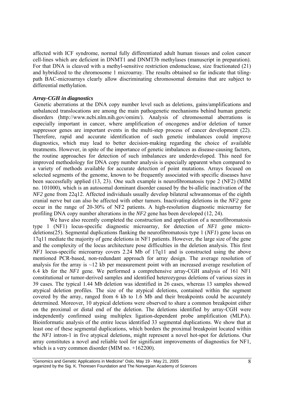affected with ICF syndrome, normal fully differentiated adult human tissues and colon cancer cell-lines which are deficient in DNMT1 and DNMT3b methylases (manuscript in preparation). For that DNA is cleaved with a methyl-sensitive restriction endonuclease, size fractionated (21) and hybridized to the chromosome 1 microarray. The results obtained so far indicate that tilingpath BAC-microarrays clearly allow discriminating chromosomal domains that are subject to differential methylation.

#### *Array-CGH in diagnostics*

 Genetic aberrations at the DNA copy number level such as deletions, gains/amplifications and unbalanced translocations are among the main pathogenetic mechanisms behind human genetic disorders (http://www.ncbi.nlm.nih.gov/omim/). Analysis of chromosomal aberrations is especially important in cancer, where amplification of oncogenes and/or deletion of tumor suppressor genes are important events in the multi-step process of cancer development (22). Therefore, rapid and accurate identification of such genetic imbalances could improve diagnostics, which may lead to better decision-making regarding the choice of available treatments. However, in spite of the importance of genetic imbalances as disease-causing factors, the routine approaches for detection of such imbalances are underdeveloped. This need for improved methodology for DNA copy number analysis is especially apparent when compared to a variety of methods available for accurate detection of point mutations. Arrays focused on selected segments of the genome, known to be frequently associated with specific diseases have been successfully applied (13, 23). One such example is neurofibromatosis type 2 (NF2) (MIM no. 101000), which is an autosomal dominant disorder caused by the bi-allelic inactivation of the *NF2* gene from 22q12. Affected individuals usually develop bilateral schwannomas of the eighth cranial nerve but can also be affected with other tumors. Inactivating deletions in the *NF2* gene occur in the range of 20-30% of NF2 patients. A high-resolution diagnostic microarray for profiling DNA copy number alterations in the *NF2* gene has been developed (12, 24).

We have also recently completed the construction and application of a neurofibromatosis type 1 (NF1) locus-specific diagnostic microarray, for detection of *NF1* gene microdeletions(25). Segmental duplications flanking the neurofibromatosis type 1 (*NF1*) gene locus on 17q11 mediate the majority of gene deletions in NF1 patients. However, the large size of the gene and the complexity of the locus architecture pose difficulties in the deletion analysis. This first *NF1* locus-specific microarray covers 2.24 Mb of 17q11 and is constructed using the above mentioned PCR-based, non-redundant approach for array design. The average resolution of analysis for the array is  $\sim$ 12 kb per measurement point with an increased average resolution of 6.4 kb for the *NF1* gene. We performed a comprehensive array-CGH analysis of 161 NF1 constitutional or tumor-derived samples and identified heterozygous deletions of various sizes in 39 cases. The typical 1.44 Mb deletion was identified in 26 cases, whereas 13 samples showed atypical deletion profiles. The size of the atypical deletions, contained within the segment covered by the array, ranged from 6 kb to 1.6 Mb and their breakpoints could be accurately determined. Moreover, 10 atypical deletions were observed to share a common breakpoint either on the proximal or distal end of the deletion. The deletions identified by array-CGH were independently confirmed using multiplex ligation-dependent probe amplification (MLPA). Bioinformatic analysis of the entire locus identified 33 segmental duplications. We show that at least one of these segmental duplications, which borders the proximal breakpoint located within the *NF1* intron-1 in five atypical deletions, might represent a novel hot-spot for deletions. Our array constitutes a novel and reliable tool for significant improvements of diagnostics for NF1, which is a very common disorder (MIM no. +162200).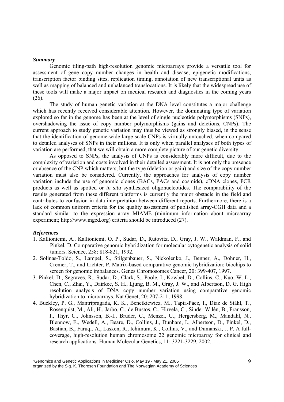#### *Summary*

Genomic tiling-path high-resolution genomic microarrays provide a versatile tool for assessment of gene copy number changes in health and disease, epigenetic modifications, transcription factor binding sites, replication timing, annotation of new transcriptional units as well as mapping of balanced and unbalanced translocations. It is likely that the widespread use of these tools will make a major impact on medical research and diagnostics in the coming years (26).

The study of human genetic variation at the DNA level constitutes a major challenge which has recently received considerable attention. However, the dominating type of variation explored so far in the genome has been at the level of single nucleotide polymorphisms (SNPs), overshadowing the issue of copy number polymorphisms (gains and deletions, CNPs). The current approach to study genetic variation may thus be viewed as strongly biased, in the sense that the identification of genome-wide large scale CNPs is virtually untouched, when compared to detailed analyses of SNPs in their millions. It is only when parallel analyses of both types of variation are performed, that we will obtain a more complete picture of our genetic diversity.

As opposed to SNPs, the analysis of CNPs is considerably more difficult, due to the complexity of variation and costs involved in their detailed assessment. It is not only the presence or absence of the CNP which matters, but the type (deletion or gain) and size of the copy number variation must also be considered. Currently, the approaches for analysis of copy number variation include the use of genomic clones (BACs, PACs and cosmids), cDNA clones, PCR products as well as spotted or *in situ* synthesized oligonucleotides. The comparability of the results generated from these different platforms is currently the major obstacle in the field and contributes to confusion in data interpretation between different reports. Furthermore, there is a lack of common uniform criteria for the quality assessment of published array-CGH data and a standard similar to the expression array MIAME (minimum information about microarray experiment; http://www.mged.org) criteria should be introduced (27).

#### *References*

- 1. Kallioniemi, A., Kallioniemi, O. P., Sudar, D., Rutovitz, D., Gray, J. W., Waldman, F., and Pinkel, D. Comparative genomic hybridization for molecular cytogenetic analysis of solid tumors. Science, 258: 818-821, 1992.
- 2. Solinas-Toldo, S., Lampel, S., Stilgenbauer, S., Nickolenko, J., Benner, A., Dohner, H., Cremer, T., and Lichter, P. Matrix-based comparative genomic hybridization: biochips to screen for genomic imbalances. Genes Chromosomes Cancer, 20: 399-407, 1997.
- 3. Pinkel, D., Segraves, R., Sudar, D., Clark, S., Poole, I., Kowbel, D., Collins, C., Kuo, W. L., Chen, C., Zhai, Y., Dairkee, S. H., Ljung, B. M., Gray, J. W., and Albertson, D. G. High resolution analysis of DNA copy number variation using comparative genomic hybridization to microarrays. Nat Genet, 20: 207-211, 1998.
- 4. Buckley, P. G., Mantripragada, K. K., Benetkiewicz, M., Tapia-Páez, I., Diaz de Ståhl, T., Rosenquist, M., Ali, H., Jarbo, C., de Bustos, C., Hirvelä, C., Sinder Wilén, B., Fransson, I., Thyr, C., Johnsson, B.-I., Bruder, C., Menzel, U., Hergersberg, M., Mandahl, N., Blennow, E., Wedell, A., Beare, D., Collins, J., Dunham, I., Albertson, D., Pinkel, D., Bastian, B., Faruqi, A., Lasken, R., Ichimura, K., Collins, V., and Dumanski, J. P. A fullcoverage, high-resolution human chromosome 22 genomic microarray for clinical and research applications. Human Molecular Genetics, 11: 3221-3229, 2002.

<sup>&</sup>quot;Genomics and Genetic Applications in Medicine" Oslo, May 19 - May 21, 2005 organized by the Sig. K. Thoresen Foundation and The Norwegian Academy of Sciences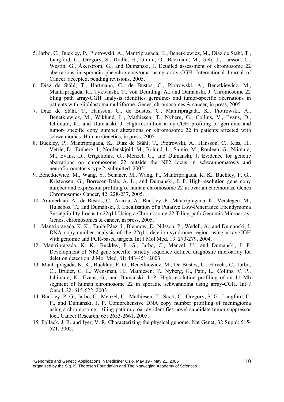- 5. Jarbo, C., Buckley, P., Piotrowski, A., Mantripragada, K., Benetkiewicz, M., Diaz de Ståhl, T., Langford, C., Gregory, S., Dralle, H., Gimm, O., Bäckdahl, M., Geli, J., Larsson, C., Westin, G., Åkerström, G., and Dumanski, J. Detailed assessment of chromosome 22 aberrations in sporadic pheochromocytoma using array-CGH. International Journal of Cancer, accepted, pending revisions, 2005.
- 6. Díaz de Ståhl, T., Hartmann, C., de Bustos, C., Piotrowski, A., Benetkiewicz, M., Mantripragada, K., Tykwinski, T., von Deimling, A., and Dumanski, J. Chromosome 22 tiling path array-CGH analysis identifies germline- and tumor-specific aberrations in patients with glioblastoma multiforme. Genes, chromosomes & cancer, in press, 2005.
- 7. Diaz de Ståhl, T., Hansson, C., de Bustos, C., Mantripragada, K., Piotrowski, A., Benetkiewicz, M., Wiklund, L., Mathiesen, T., Nyberg, G., Collins, V., Evans, D., Ichimura, K., and Dumanski, J. High-resolution array-CGH profiling of germline and tumor- specific copy number alterations on chromosome 22 in patients affected with schwannomas. Human Genetics, in press, 2005.
- 8. Buckley, P., Mantripragada, K., Díaz de Ståhl, T., Piotrowski, A., Hansson, C., Kiss, H., Vetrie, D., Ernberg, I., Nordenskjöld, M., Bolund, L., Sainio, M., Rouleau, G., Niimura, M., Evans, D., Grigelionis, G., Menzel, U., and Dumanski, J. Evidence for genetic aberrations on chromosome 22 outside the NF2 locus in schwannomatosis and neurofibromatosis type 2. submitted, 2005.
- 9. Benetkiewicz, M., Wang, Y., Schaner, M., Wang, P., Mantripragada, K. K., Buckley, P. G., Kristensen, G., Borresen-Dale, A. L., and Dumanski, J. P. High-resolution gene copy number and expression profiling of human chromosome 22 in ovarian carcinomas. Genes Chromosomes Cancer, 42: 228-237, 2005.
- 10. Ammerlaan, A., de Bustos, C., Ararou, A., Buckley, P., Mantripragada, K., Verstegen, M., Hulsebos, T., and Dumanski, J. Localization of a Putative Low-Penetrance Ependymoma Susceptibility Locus to 22q11 Using a Chromosome 22 Tiling-path Genomic Microarray. Genes, chromosomes & cancer, in press, 2005.
- 11. Mantripragada, K. K., Tapia-Páez, I., Blennow, E., Nilsson, P., Wedell, A., and Dumanski, J. DNA copy-number analysis of the 22q11 deletion-syndrome region using array-CGH with genomic and PCR-based targets. Int J Mol Med, 13: 273-279, 2004.
- 12. Mantripragada, K. K., Buckley, P. G., Jarbo, C., Menzel, U., and Dumanski, J. P. Development of NF2 gene specific, strictly sequence defined diagnostic microarray for deletion detection. J Mol Med, 81: 443-451, 2003.
- 13. Mantripragada, K. K., Buckley, P. G., Benetkiewicz, M., De Bustos, C., Hirvela, C., Jarbo, C., Bruder, C. E., Wensman, H., Mathiesen, T., Nyberg, G., Papi, L., Collins, V. P., Ichimura, K., Evans, G., and Dumanski, J. P. High-resolution profiling of an 11 Mb segment of human chromosome 22 in sporadic schwannoma using array-CGH. Int J Oncol, 22: 615-622, 2003.
- 14. Buckley, P. G., Jarbo, C., Menzel, U., Mathiesen, T., Scott, C., Gregory, S. G., Langford, C. F., and Dumanski, J. P. Comprehensive DNA copy number profiling of meningioma using a chromosome 1 tiling-path microarray identifies novel candidate tumor suppressor loci. Cancer Research, 65: 2653-2661, 2005.
- 15. Pollack, J. R. and Iyer, V. R. Characterizing the physical genome. Nat Genet, 32 Suppl: 515- 521, 2002.

<sup>&</sup>quot;Genomics and Genetic Applications in Medicine" Oslo, May 19 - May 21, 2005 organized by the Sig. K. Thoresen Foundation and The Norwegian Academy of Sciences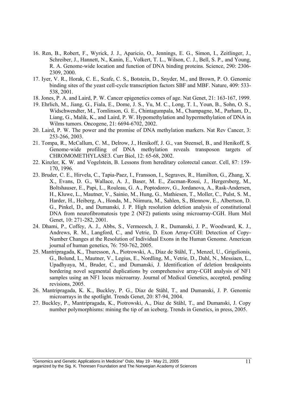- 16. Ren, B., Robert, F., Wyrick, J. J., Aparicio, O., Jennings, E. G., Simon, I., Zeitlinger, J., Schreiber, J., Hannett, N., Kanin, E., Volkert, T. L., Wilson, C. J., Bell, S. P., and Young, R. A. Genome-wide location and function of DNA binding proteins. Science, 290: 2306- 2309, 2000.
- 17. Iyer, V. R., Horak, C. E., Scafe, C. S., Botstein, D., Snyder, M., and Brown, P. O. Genomic binding sites of the yeast cell-cycle transcription factors SBF and MBF. Nature, 409: 533- 538, 2001.
- 18. Jones, P. A. and Laird, P. W. Cancer epigenetics comes of age. Nat Genet, 21: 163-167, 1999.
- 19. Ehrlich, M., Jiang, G., Fiala, E., Dome, J. S., Yu, M. C., Long, T. I., Youn, B., Sohn, O. S., Widschwendter, M., Tomlinson, G. E., Chintagumpala, M., Champagne, M., Parham, D., Liang, G., Malik, K., and Laird, P. W. Hypomethylation and hypermethylation of DNA in Wilms tumors. Oncogene, 21: 6694-6702, 2002.
- 20. Laird, P. W. The power and the promise of DNA methylation markers. Nat Rev Cancer, 3: 253-266, 2003.
- 21. Tompa, R., McCallum, C. M., Delrow, J., Henikoff, J. G., van Steensel, B., and Henikoff, S. Genome-wide profiling of DNA methylation reveals transposon targets of CHROMOMETHYLASE3. Curr Biol, 12: 65-68, 2002.
- 22. Kinzler, K. W. and Vogelstein, B. Lessons from hereditary colorectal cancer. Cell, 87: 159- 170, 1996.
- 23. Bruder, C. E., Hirvela, C., Tapia-Paez, I., Fransson, I., Segraves, R., Hamilton, G., Zhang, X. X., Evans, D. G., Wallace, A. J., Baser, M. E., Zucman-Rossi, J., Hergersberg, M., Boltshauser, E., Papi, L., Rouleau, G. A., Poptodorov, G., Jordanova, A., Rask-Andersen, H., Kluwe, L., Mautner, V., Sainio, M., Hung, G., Mathiesen, T., Moller, C., Pulst, S. M., Harder, H., Heiberg, A., Honda, M., Niimura, M., Sahlen, S., Blennow, E., Albertson, D. G., Pinkel, D., and Dumanski, J. P. High resolution deletion analysis of constitutional DNA from neurofibromatosis type 2 (NF2) patients using microarray-CGH. Hum Mol Genet, 10: 271-282, 2001.
- 24. Dhami, P., Coffey, A. J., Abbs, S., Vermeesch, J. R., Dumanski, J. P., Woodward, K. J., Andrews, R. M., Langford, C., and Vetrie, D. Exon Array-CGH: Detection of Copy-Number Changes at the Resolution of Individual Exons in the Human Genome. American journal of human genetics, 76: 750-762, 2005.
- 25. Mantripragada, K., Thuresson, A., Piotrowski, A., Díaz de Ståhl, T., Menzel, U., Grigelionis, G., Bolund, L., Mautner, V., Legius, E., Nordling, M., Vetrie, D., Dahl, N., Messiaen, L., Upadhyaya, M., Bruder, C., and Dumanski, J. Identification of deletion breakpoints bordering novel segmental duplications by comprehensive array-CGH analysis of NF1 samples using an NF1 locus microarray. Journal of Medical Genetics, accepted, pending revisions, 2005.
- 26. Mantripragada, K. K., Buckley, P. G., Diaz de Ståhl, T., and Dumanski, J. P. Genomic microarrays in the spotlight. Trends Genet, 20: 87-94, 2004.
- 27. Buckley, P., Mantripragada, K., Piotrowski, A., Díaz de Ståhl, T., and Dumanski, J. Copy number polymorphisms: mining the tip of an iceberg. Trends in Genetics, in press, 2005.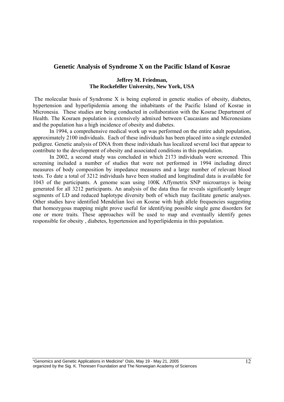## **Genetic Analysis of Syndrome X on the Pacific Island of Kosrae**

#### **Jeffrey M. Friedman, The Rockefeller University, New York, USA**

 The molecular basis of Syndrome X is being explored in genetic studies of obesity, diabetes, hypertension and hyperlipidemia among the inhabitants of the Pacific Island of Kosrae in Micronesia. These studies are being conducted in collaboration with the Kosrae Department of Health. The Kosraen population is extensively admixed between Caucasians and Micronesians and the population has a high incidence of obesity and diabetes.

In 1994, a comprehensive medical work up was performed on the entire adult population, approximately 2100 individuals. Each of these individuals has been placed into a single extended pedigree. Genetic analysis of DNA from these individuals has localized several loci that appear to contribute to the development of obesity and associated conditions in this population.

In 2002, a second study was concluded in which 2173 individuals were screened. This screening included a number of studies that were not performed in 1994 including direct measures of body composition by impedance measures and a large number of relevant blood tests. To date a total of 3212 individuals have been studied and longitudinal data is available for 1043 of the participants. A genome scan using 100K Affymetrix SNP microarrays is being generated for all 3212 participants. An analysis of the data thus far reveals significantly longer segments of LD and reduced haplotype diversity both of which may facilitate genetic analyses. Other studies have identified Mendelian loci on Kosrae with high allele frequencies suggesting that homozygous mapping might prove useful for identifying possible single gene disorders for one or more traits. These approaches will be used to map and eventually identify genes responsible for obesity , diabetes, hypertension and hyperlipidemia in this population.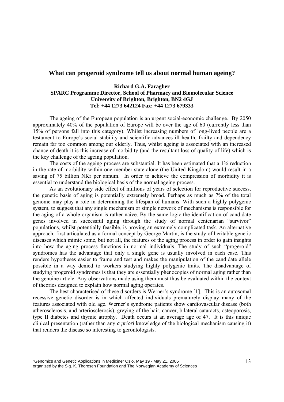## **What can progeroid syndrome tell us about normal human ageing?**

#### **Richard G.A. Faragher SPARC Programme Director, School of Pharmacy and Biomolecular Science University of Brighton, Brighton, BN2 4GJ Tel: +44 1273 642124 Fax: +44 1273 679333**

The ageing of the European population is an urgent social-economic challenge. By 2050 approximately 40% of the population of Europe will be over the age of 60 (currently less than 15% of persons fall into this category). Whilst increasing numbers of long-lived people are a testament to Europe's social stability and scientific advances ill health, frailty and dependency remain far too common among our elderly. Thus, whilst ageing is associated with an increased chance of death it is this increase of morbidity (and the resultant loss of quality of life) which is the key challenge of the ageing population.

The costs of the ageing process are substantial. It has been estimated that a 1% reduction in the rate of morbidity within one member state alone (the United Kingdom) would result in a saving of 75 billion NKr per annum. In order to achieve the compression of morbidity it is essential to understand the biological basis of the normal ageing process.

As an evolutionary side effect of millions of years of selection for reproductive success, the genetic basis of aging is potentially extremely broad. Perhaps as much as 7% of the total genome may play a role in determining the lifespan of humans. With such a highly polygenic system, to suggest that any single mechanism or simple network of mechanisms is responsible for the aging of a whole organism is rather naive. By the same logic the identification of candidate genes involved in successful aging through the study of normal centenarian "survivor" populations, whilst potentially feasible, is proving an extremely complicated task. An alternative approach, first articulated as a formal concept by George Martin, is the study of heritable genetic diseases which mimic some, but not all, the features of the aging process in order to gain insights into how the aging process functions in normal individuals. The study of such "progeroid" syndromes has the advantage that only a single gene is usually involved in each case. This renders hypotheses easier to frame and test and makes the manipulation of the candidate allele possible in a way denied to workers studying highly polygenic traits. The disadvantage of studying progeroid syndromes is that they are essentially phenocopies of normal aging rather than the genuine article. Any observations made using them must thus be evaluated within the context of theories designed to explain how normal aging operates.

The best characterised of these disorders is Werner's syndrome [1]. This is an autosomal recessive genetic disorder is in which affected individuals prematurely display many of the features associated with old age. Werner's syndrome patients show cardiovascular disease (both atherosclerosis, and arteriosclerosis), greying of the hair, cancer, bilateral cataracts, osteoporosis, type II diabetes and thymic atrophy. Death occurs at an average age of 47. It is this unique clinical presentation (rather than any *a priori* knowledge of the biological mechanism causing it) that renders the disease so interesting to gerontologists.

"Genomics and Genetic Applications in Medicine" Oslo, May 19 - May 21, 2005 organized by the Sig. K. Thoresen Foundation and The Norwegian Academy of Sciences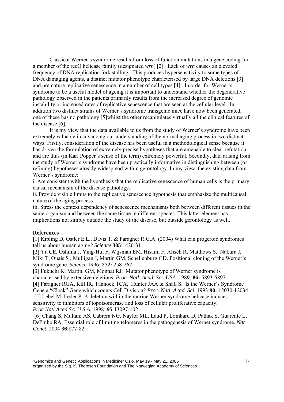Classical Werner's syndrome results from loss of function mutations in a gene coding for a member of the recQ helicase family (designated *wrn*) [2]. Lack of *wrn* causes an elevated frequency of DNA replication fork stalling. This produces hypersensitivity to some types of DNA damaging agents, a distinct mutator phenotype characterised by large DNA deletions [3] and premature replicative senescence in a number of cell types [4]. In order for Werner's syndrome to be a useful model of ageing it is important to understand whether the degenerative pathology observed in the patients primarily results from the increased degree of genomic instability or increased rates of replicative senescence that are seen at the cellular level. In addition two distinct strains of Werner's syndrome transgenic mice have now been generated, one of these has no pathology [5]whilst the other recapitulates virtually all the clinical features of the disease [6].

It is my view that the data available to us from the study of Werner's syndrome have been extremely valuable in advancing our understanding of the normal aging process in two distinct ways. Firstly, consideration of the disease has been useful in a methodological sense because it has driven the formulation of extremely precise hypotheses that are amenable to clear refutation and are thus (in Karl Popper's sense of the term) extremely powerful. Secondly, data arising from the study of Werner's syndrome have been practically informative in distinguishing between (or refining) hypotheses already widespread within gerontology. In my view, the existing data from Werner's syndrome:

i. Are consistent with the hypothesis that the replicative senescence of human cells is the primary causal mechanism of the disease pathology.

ii. Provide visible limits to the replicative senescence hypothesis that emphasize the multicausal nature of the aging process.

iii. Stress the context dependency of senescence mechanisms both between different tissues in the same organism and between the same tissue in different species. This latter element has implications not simply outside the study of the disease, but outside gerontology as well.

#### **References**

[1] Kipling D, Ostler E.L., Davis T. & Faragher R.G.A. (2004) What can progeroid syndromes tell us about human aging? *Science* **305**:1426-31

[2] Yu CE, Oshima J, Ying-Hui F, Wijsman EM, Hisami F, Alisch R, Matthews S, Nakura J, Miki T, Ouais S , Mulligan J, Martin GM, Schellenburg GD. Positional cloning of the Werner's syndrome gene. *Science* 1996; **272:** 258-262

[3] Fukuchi K, Martin, GM, Monnat RJ. Mutator phenotype of Werner syndrome is characterised by extensive deletions. *Proc. Natl. Acad. Sci. USA* 1989; **86:** 5893-5897. [4] Faragher RGA, Kill IR, Tannock TCA, Hunter JAA & Shall S. Is the Werner's Syndrome Gene a "Clock" Gene which counts Cell Division? *Proc. Natl. Acad. Sci*. 1993;**90:** 12030-12034.

 [5] Lebel M, Leder P. A deletion within the murine Werner syndrome helicase induces sensitivity to inhibitors of topoisomerase and loss of cellular proliferative capacity. *Proc Natl Acad Sci U S A.* 1998; **95**:13097-102

 [6] Chang S, Multani AS, Cabrera NG, Naylor ML, Laud P, Lombard D, Pathak S, Guarente L, DePinho RA. Essential role of limiting telomeres in the pathogenesis of Werner syndrome. *Nat Genet*. 2004 **36**:877-82.

<sup>&</sup>quot;Genomics and Genetic Applications in Medicine" Oslo, May 19 - May 21, 2005 organized by the Sig. K. Thoresen Foundation and The Norwegian Academy of Sciences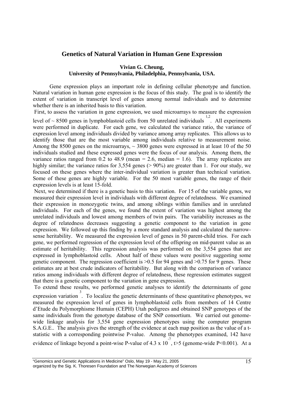# **Genetics of Natural Variation in Human Gene Expression**

#### **Vivian G. Cheung, University of Pennsylvania, Philadelphia, Pennsylvania, USA.**

Gene expression plays an important role in defining cellular phenotype and function. Natural variation in human gene expression is the focus of this study. The goal is to identify the extent of variation in transcript level of genes among normal individuals and to determine whether there is an inherited basis to this variation.

First, to assess the variation in gene expression, we used microarrays to measure the expression

level of  $\sim$  8500 genes in lymphoblastoid cells from 50 unrelated individuals  $\frac{1,2}{1}$ . All experiments were performed in duplicate. For each gene, we calculated the variance ratio, the variance of expression level among individuals divided by variance among array replicates. This allows us to identify those that are the most variable among individuals relative to measurement noise. Among the 8500 genes on the microarrays,  $\sim$  3800 genes were expressed in at least 10 of the 50 individuals studied and these expressed genes were the focus of our analysis. Among them, the variance ratios ranged from 0.2 to 48.9 (mean  $= 2.6$ , median  $= 1.6$ ). The array replicates are highly similar; the variance ratios for 3,554 genes ( $> 90\%$ ) are greater than 1. For our study, we focused on these genes where the inter-individual variation is greater than technical variation. Some of these genes are highly variable. For the 50 most variable genes, the range of their expression levels is at least 15-fold.

 Next, we determined if there is a genetic basis to this variation. For 15 of the variable genes, we measured their expression level in individuals with different degree of relatedness. We examined their expression in monozygotic twins, and among siblings within families and in unrelated individuals. For each of the genes, we found the extent of variation was highest among the unrelated individuals and lowest among members of twin pairs. The variability increases as the degree of relatedness decreases suggesting a genetic component to the variation in gene expression. We followed up this finding by a more standard analysis and calculated the narrowsense heritability. We measured the expression level of genes in 50 parent-child trios. For each gene, we performed regression of the expression level of the offspring on mid-parent value as an estimate of heritability. This regression analysis was performed on the 3,554 genes that are expressed in lymphoblastoid cells. About half of these values were positive suggesting some genetic component. The regression coefficient is >0.5 for 94 genes and >0.75 for 9 genes. These estimates are at best crude indicators of heritability. But along with the comparison of variance ratios among individuals with different degree of relatedness, these regression estimates suggest that there is a genetic component to the variation in gene expression.

 To extend these results, we performed genetic analyses to identify the determinants of gene expression variation. To localize the genetic determinants of these quantitative phenotypes, we measured the expression level of genes in lymphoblastoid cells from members of 14 Centre d'Etude du Polymorphisme Humain (CEPH) Utah pedigrees and obtained SNP genotypes of the same individuals from the genotype database of the SNP consortium. We carried out genomewide linkage analysis for 3,554 gene expression phenotypes using the computer program S.A.G.E.. The analysis gives the strength of the evidence at each map position as the value of a tstatistic with a corresponding pointwise P-value. Among the phenotypes examined, 142 have

evidence of linkage beyond a point-wise P-value of 4.3 x 10<sup>-</sup>, t>5 (genome-wide P<0.001). At a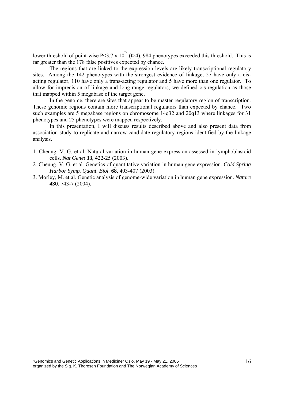lower threshold of point-wise P<3.7 x 10<sup>-5</sup> (t>4), 984 phenotypes exceeded this threshold. This is far greater than the 178 false positives expected by chance.

The regions that are linked to the expression levels are likely transcriptional regulatory sites. Among the 142 phenotypes with the strongest evidence of linkage, 27 have only a cisacting regulator, 110 have only a trans-acting regulator and 5 have more than one regulator. To allow for imprecision of linkage and long-range regulators, we defined cis-regulation as those that mapped within 5 megabase of the target gene.

In the genome, there are sites that appear to be master regulatory region of transcription. These genomic regions contain more transcriptional regulators than expected by chance. Two such examples are 5 megabase regions on chromosome 14q32 and 20q13 where linkages for 31 phenotypes and 25 phenotypes were mapped respectively.

In this presentation, I will discuss results described above and also present data from association study to replicate and narrow candidate regulatory regions identified by the linkage analysis.

- 1. Cheung, V. G. et al. Natural variation in human gene expression assessed in lymphoblastoid cells. *Nat Genet* **33**, 422-25 (2003).
- 2. Cheung, V. G. et al. Genetics of quantitative variation in human gene expression. *Cold Spring Harbor Symp. Quant. Biol.* **68**, 403-407 (2003).
- 3. Morley, M. et al. Genetic analysis of genome-wide variation in human gene expression. *Nature* **430**, 743-7 (2004).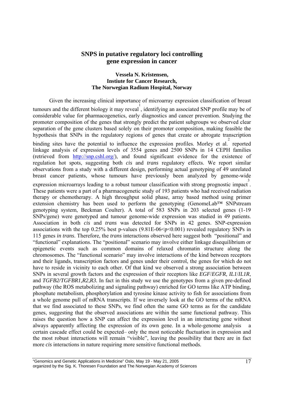# **SNPS in putative regulatory loci controlling gene expression in cancer**

#### **Vessela N. Kristensen, Instiute for Cancer Research, The Norwegian Radium Hospital, Norway**

Given the increasing clinical importance of microarray expression classification of breast

tumours and the different biology it may reveal 1 , identifying an associated SNP profile may be of considerable value for pharmacogenetics, early diagnostics and cancer prevention. Studying the promoter composition of the genes that strongly predict the patient subgroups we observed clear separation of the gene clusters based solely on their promoter composition, making feasible the hypothesis that SNPs in the regulatory regions of genes that create or abrogate transcription

binding sites have the potential to influence the expression profiles. Morley et al.  $\overline{a}$  reported linkage analysis of expression levels of 3554 genes and 2500 SNPs in 14 CEPH families (retrieved from [http://snp.cshl.org/\)](http://snp.cshl.org/), and found significant evidence for the existence of regulation hot spots, suggesting both *cis* and *trans* regulatory effects. We report similar observations from a study with a different design, performing actual genotyping of 49 unrelated breast cancer patients, whose tumours have previously been analyzed by genome-wide

expression microarrays leading to a robust tumour classification with strong prognostic impact. These patients were a part of a pharmacogenetic study of 193 patients who had received radiation therapy or chemotherapy. A high throughput solid phase, array based method using primer extension chemistry has been used to perform the genotyping (GenomeLab™ SNPstream genotyping system, Beckman Coulter). A total of 583 SNPs in 203 selected genes (1-19 SNPs/gene) were genotyped and tumour genome-wide expression was studied in 49 patients. Association in both *cis* and *trans* was detected for SNPs in 42 genes. SNP-expression associations with the top  $0.25\%$  best p-values  $(9.81E-06< p< 0.001)$  revealed regulatory SNPs in 115 genes *in trans*. Therefore, the *trans* interactions observed here suggest both "positional" and "functional" explanations. The "positional" scenario may involve either linkage disequilibrium or epigenetic events such as common domains of relaxed chromatin structure along the chromosomes. The "functional scenario" may involve interactions of the kind between receptors and their ligands, transcription factors and genes under their control, the genes for which do not have to reside in vicinity to each other. Of that kind we observed a strong association between SNPs in several growth factors and the expression of their receptors like *EGF*/*EGFR, IL1*/*IL1R*, and *TGFB2/TGFBR1,R2,R3.* In fact in this study we use the genotypes from a given pre-defined pathway (the ROS metabolizing and signaling pathway) enriched for GO terms like ATP binding, phosphate metabolism, phosphorylation and tyrosine kinase activity to fish for associations from a whole genome pull of mRNA transcripts. If we inversely look at the GO terms of the mRNA that we find associated to these SNPs, we find often the same GO terms as for the candidate genes, suggesting that the observed associations are within the same functional pathway. This raises the question how a SNP can affect the expression level in an interacting gene without always apparently affecting the expression of its own gene. In a whole-genome analysis a certain cascade effect could be expected– only the most noticeable fluctuation in expression and the most robust interactions will remain "visible", leaving the possibility that there are in fact more *cis* interactions in nature requiring more sensitive functional methods.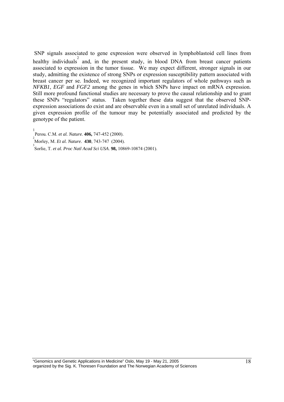SNP signals associated to gene expression were observed in lymphoblastoid cell lines from healthy individuals<sup>2</sup> and, in the present study, in blood DNA from breast cancer patients associated to expression in the tumor tissue. We may expect different, stronger signals in our study, admitting the existence of strong SNPs or expression susceptibility pattern associated with breast cancer per se. Indeed, we recognized important regulators of whole pathways such as *NFKB1*, *EGF* and *FGF2* among the genes in which SNPs have impact on mRNA expression. Still more profound functional studies are necessary to prove the causal relationship and to grant these SNPs "regulators" status. Taken together these data suggest that the observed SNPexpression associations do exist and are observable even in a small set of unrelated individuals. A given expression profile of the tumour may be potentially associated and predicted by the genotype of the patient.

- 1 Perou. C.M. *et al. Nature.* **406,** 747-452 (2000). 2
- <sup>2</sup> Morley, M. *Et al. Nature.* **430**, 743-747 (2004).
- Sorlie, T. *et al. Proc Natl Acad Sci USA*. **98,** 10869-10874 (2001).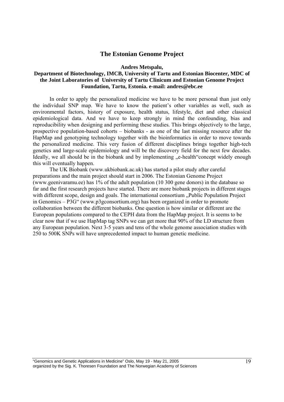### **The Estonian Genome Project**

**Andres Metspalu,** 

#### **Department of Biotechnology, IMCB, University of Tartu and Estonian Biocenter, MDC of the Joint Laboratories of University of Tartu Clinicum and Estonian Genome Project Foundation, Tartu, Estonia. e-mail: andres@ebc.ee**

In order to apply the personalized medicine we have to be more personal than just only the individual SNP map. We have to know the patient's other variables as well, such as environmental factors, history of exposure, health status, lifestyle, diet and other classical epidemiological data. And we have to keep strongly in mind the confounding, bias and reproducibility when designing and performing these studies. This brings objectively to the large, prospective population-based cohorts – biobanks - as one of the last missing resource after the HapMap and genotyping technology together with the bioinformatics in order to move towards the personalized medicine. This very fusion of different disciplines brings together high-tech genetics and large-scale epidemiology and will be the discovery field for the next few decades. Ideally, we all should be in the biobank and by implementing  $\mathcal{L}$ -health concept widely enough this will eventually happen.

The UK Biobank (www.ukbiobank.ac.uk) has started a pilot study after careful preparations and the main project should start in 2006. The Estonian Genome Project (www.geenivaramu.ee) has 1% of the adult population (10 300 gene donors) in the database so far and the first research projects have started. There are more biobank projects in different stages with different scope, design and goals. The international consortium "Public Population Project in Genomics – P3G" (www.p3gconsortium.org) has been organized in order to promote collaboration between the different biobanks. One question is how similar or different are the European populations compared to the CEPH data from the HapMap project. It is seems to be clear now that if we use HapMap tag SNPs we can get more that 90% of the LD structure from any European population. Next 3-5 years and tens of the whole genome association studies with 250 to 500K SNPs will have unprecedented impact to human genetic medicine.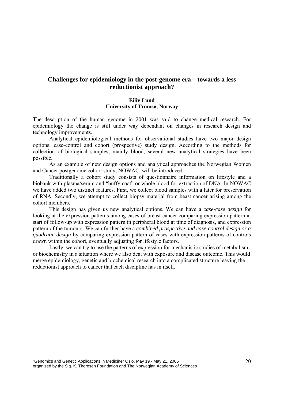# **Challenges for epidemiology in the post-genome era – towards a less reductionist approach?**

## **Eiliv Lund University of Tromsø, Norway**

The description of the human genome in 2001 was said to change medical research. For epidemiology the change is still under way dependant on changes in research design and technology improvements.

Analytical epidemiological methods for observational studies have two major design options; case-control and cohort (prospective) study design. According to the methods for collection of biological samples, mainly blood, several new analytical strategies have been possible.

As an example of new design options and analytical approaches the Norwegian Women and Cancer postgenome cohort study, NOWAC, will be introduced.

Traditionally a cohort study consists of questionnaire information on lifestyle and a biobank with plasma/serum and "buffy coat" or whole blood for extraction of DNA. In NOWAC we have added two distinct features. First, we collect blood samples with a later for preservation of RNA. Secondly, we attempt to collect biopsy material from beast cancer arising among the cohort members.

This design has given us new analytical options. We can have a *case-case design* for looking at the expression patterns among cases of breast cancer comparing expression pattern at start of follow-up with expression pattern in peripheral blood at time of diagnosis, and expression pattern of the tumours. We can further have a *combined prospective and case-control design or a quadratic design* by comparing expression pattern of cases with expression patterns of controls drawn within the cohort, eventually adjusting for lifestyle factors.

Lastly, we can try to use the patterns of expression for mechanistic studies of metabolism or biochemistry in a situation where we also deal with exposure and disease outcome. This would merge epidemiology, genetic and biochemical research into a complicated structure leaving the reductionist approach to cancer that each discipline has in itself.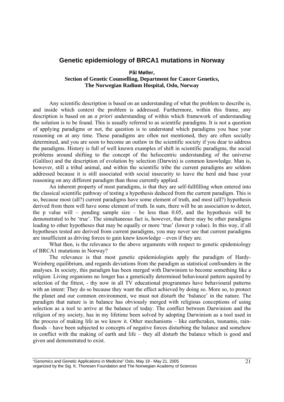# **Genetic epidemiology of BRCA1 mutations in Norway**

#### **Pål Møller, Section of Genetic Counselling, Department for Cancer Genetics, The Norwegian Radium Hospital, Oslo, Norway**

Any scientific description is based on an understanding of what the problem to describe is, and inside which context the problem is addressed. Furthermore, within this frame, any description is based on an *a priori* understanding of within which framework of understanding the solution is to be found. This is usually referred to as scientific paradigms. It is not a question of applying paradigms or not, the question is to understand which paradigms you base your reasoning on at any time. These paradigms are often not mentioned, they are often socially determined, and you are soon to become an outlaw in the scientific society if you dear to address the paradigms. History is full of well known examples of shift in scientific paradigms, the social problems around shifting to the concept of the heliocentric understanding of the universe (Galileo) and the description of evolution by selection (Darwin) is common knowledge. Man is, however, still a tribal animal, and within the scientific tribe the current paradigms are seldom addressed because it is still associated with social insecurity to leave the herd and base your reasoning on any different paradigm than those currently applied.

An inherent property of most paradigms, is that they are self-fullfilling when entered into the classical scientific pathway of testing a hypothesis deduced from the current paradigm. This is so, because most (all?) current paradigms have some element of truth, and most (all?) hypothesis derived from them will have some element of truth. In sum, there will be an association to detect, the p value will – pending sample size – be less than  $0.05$ , and the hypothesis will be demonstrated to be 'true'. The simultaneous fact is, however, that there may be other paradigms leading to other hypotheses that may be equally or more 'true' (lower p value). In this way, if all hypotheses tested are derived from current paradigms, you may never see that current paradigms are insufficient as driving forces to gain knew knowledge – even if they are.

What then, is the relevance to the above arguments with respect to genetic epidemiology of BRCA1 mutations in Norway?

The relevance is that most genetic epidemiologists apply the paradigm of Hardy-Weinberg equilibrium, and regards deviations from the paradigm as statistical confounders in the analyses. In society, this paradigm has been merged with Darwinism to become something like a religion: Living organisms no longer has a genetically determined behavioural pattern aquired by selection of the fittest, - thy now in all TV educational programmes have behavioural patterns with an intent: They do so because they want the effect achieved by doing so. More so, to protect the planet and our common environment, we must not disturb the 'balance' in the nature. The paradigm that nature is in balance has obviously merged with religious conceptions of using selection as a tool to arrive at the balance of today. The conflict between Darwinism and the religion of my society, has in my lifetime been solved by adopting Darwinism as a tool used in the process of making life as we know it. Other mechanisms – like earthcrakes, tsunamis, rainfloods – have been subjected to concepts of negative forces disturbing the balance and somehow in conflict with the making of earth and life – they all disturb the balance which is good and given and demonstrated to exist.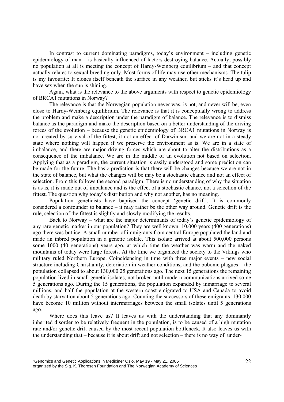In contrast to current dominating paradigms, today's environment – including genetic epidemiology of man – is basically influenced of factors destroying balance. Actually, possibly no population at all is meeting the concept of Hardy-Weinberg equilibrium – and that concept actually relates to sexual breeding only. Most forms of life may use other mechanisms. The tulip is my favourite: It clones itself beneath the surface in any weather, but sticks it's head up and have sex when the sun is shining.

Again, what is the relevance to the above arguments with respect to genetic epidemiology of BRCA1 mutations in Norway?

The relevance is that the Norwegian population never was, is not, and never will be, even close to Hardy-Weinberg equilibrium. The relevance is that it is conceptually wrong to address the problem and make a description under the paradigm of balance. The relevance is to dismiss balance as the paradigm and make the description based on a better understanding of the driving forces of the evolution – because the genetic epidemiology of BRCA1 mutations in Norway is not created by survival of the fittest, it not an effect of Darwinism, and we are not in a steady state where nothing will happen if we preserve the environment as is. We are in a state of imbalance, and there are major driving forces which are about to alter the distributions as a consequence of the imbalance. We are in the middle of an evolution not based on selection. Applying that as a paradigm, the current situation is easily understood and some prediction can be made for the future. The basic prediction is that there will be changes because we are not in the state of balance, but what the changes will be may be a stochastic chance and not an effect of selection. From this follows the second paradigm: There is no understanding of why the situation is as is, it is made out of imbalance and is the effect of a stochastic chance, not a selection of the fittest. The question why today's distribution and why not another, has no meaning.

Population geneticists have baptised the concept 'genetic drift'. It is commonly considered a confounder to balance – it may rather be the other way around. Genetic drift is the rule, selection of the fittest is slightly and slowly modifying the results.

Back to Norway – what are the major determinants of today's genetic epidemiology of any rare genetic marker in our population? They are well known: 10,000 years (400 generations) ago there was but ice. A small number of immigrants from central Europe populated the land and made an inbred population in a genetic isolate. This isolate arrived at about 500,000 persons some 1000 (40 generations) years ago, at which time the weather was warm and the naked mountains of today were large forests. At the time we organized the society to the Vikings who military ruled Northern Europe. Coincidencing in time with three major events – new social structure including Christianity, detoriation in weather conditions, and the bubonic plagues – the population collapsed to about 130,000 25 generations ago. The next 15 generations the remaining population lived in small genetic isolates, not broken until modern communications arrived some 5 generations ago. During the 15 generations, the population expanded by inmarriage to several millions, and half the population at the western coast emigrated to USA and Canada to avoid death by starvation about 5 generations ago. Counting the successors of these emigrants, 130,000 have become 10 million without intermarriages between the small isolates until 5 generations ago.

Where does this leave us? It leaves us with the understanding that any dominantly inherited disorder to be relatively frequent in the population, is to be caused of a high mutation rate and/or genetic drift caused by the most recent population bottleneck. It also leaves us with the understanding that – because it is about drift and not selection – there is no way of under-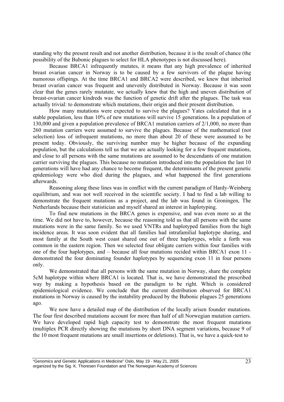standing why the present result and not another distribution, because it is the result of chance (the possibility of the Bubonic plagues to select for HLA phenotypes is not discussed here).

Because BRCA1 infrequently mutates, it means that any high prevalence of inherited breast ovarian cancer in Norway is to be caused by a few survivors of the plague having numorous offspings. At the time BRCA1 and BRCA2 were described, we knew that inherited breast ovarian cancer was frequent and unevenly distributed in Norway. Because it was soon clear that the genes rarely mutatate, we actually knew that the high and uneven distribution of breast-ovarian cancer kindreds was the function of genetic drift after the plagues. The task was actually trivial: to demonstrate which mutations, their origin and their present distribution.

How many mutations were expected to survive the plagues? Yates calculated that in a stable population, less than 10% of new mutations will survive 15 generations. In a population of 130,000 and given a population prevalence of BRCA1 mutation carriers of 2/1,000, no more than 260 mutation carriers were assumed to survive the plagues. Because of the mathematical (not selection) loss of infrequent mutations, no more than about 20 of these were assumed to be present today. Obviously, the surviving number may be higher because of the expanding population, but the calculations tell us that we are actually looking for a few frequent mutations, and close to all persons with the same mutations are assumed to be descendants of one mutation carrier surviving the plagues. This because no mutation introduced into the population the last 10 generations will have had any chance to become frequent, the determinants of the present genetic epidemiology were who died during the plagues, and what happened the first generations afterwards.

Reasoning along these lines was in conflict with the current paradigm of Hardy-Weinberg equilibrium, and was not well received in the scientific society. I had to find a lab willing to demonstrate the frequent mutations as a project, and the lab was found in Groningen, The Netherlands because their statistician and myself shared an interest in haplotyping.

To find new mutations in the BRCA genes is expensive, and was even more so at the time. We did not have to, however, because the reasoning told us that all persons with the same mutations were in the same family. So we used VNTRs and haplotyped families from the high incidence areas. It was soon evident that all families had intrafamilial haplotype sharing, and most family at the South west coast shared one out of three haplotypes, while a forth was common in the eastern region. Then we selected four obligate carriers within four families with one of the four haplotypes, and – because all four mutations recided within BRCA1 exon 11 demonstrated the four dominating founder haplotypes by sequencing exon 11 in four persons only.

We demonstrated that all persons with the same mutation in Norway, share the complete 5cM haplotype within where BRCA1 is located. That is, we have demonstrated the prescribed way by making a hypothesis based on the paradigm to be right. Which is considered epidemiological evidence. We conclude that the current distribution observed for BRCA1 mutations in Norway is caused by the instability produced by the Bubonic plagues 25 generations ago.

We now have a detailed map of the distribution of the locally arisen founder mutations. The four first described mutations account for more than half of all Norwegian mutation carriers. We have developed rapid high capacity test to demonstrate the most frequent mutations (multiplex PCR directly showing the mutations by short DNA segment variations, because 9 of the 10 most frequent mutations are small insertions or deletions). That is, we have a quick-test to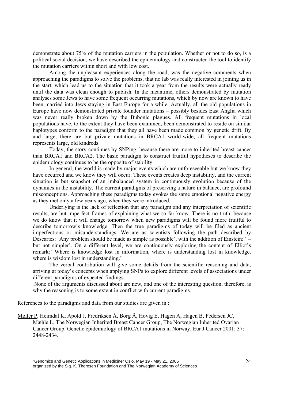demonstrate about 75% of the mutation carriers in the population. Whether or not to do so, is a political social decision, we have described the epidemiology and constructed the tool to identify the mutation carriers within short and with low cost.

Among the unpleasant experiences along the road, was the negative comments when approaching the paradigms to solve the problems, that no lab was really interested in joining us in the start, which lead us to the situation that it took a year from the results were actually ready until the data was clean enough to publish. In the meantime, others demonstrated by mutation analyses some Jews to have some frequent occurring mutations, which by now are known to have been married into Jews staying in East Europe for a while. Actually, all the old populations in Europe have now demonstrated private founder mutations – possibly besides East Anglia which was never really broken down by the Bubonic plagues. All frequent mutations in local populations have, to the extent they have been examined, been demonstrated to reside on similar haplotypes conform to the paradigm that they all have been made common by genetic drift. By and large, there are but private mutations in BRCA1 world-wide, all frequent mutations represents large, old kindreds.

Today, the story continues by SNPing, because there are more to inherited breast cancer than BRCA1 and BRCA2. The basic paradigm to construct fruitful hypotheses to describe the epidemiology continues to be the opposite of stability.

In general, the world is made by major events which are unforeseeable but we know they have occurred and we know they will occur. These events creates deep instability, and the current situation is but snapshot of an imbalanced system in continuously evolution because of the dynamics in the instability. The current paradigms of preserving a nature in balance, are profound misconceptions. Approaching these paradigms today evokes the same emotional negative energy as they met only a few years ago, when they were introduced.

Underlying is the lack of reflection that any paradigm and any interpretation of scientific results, are but imperfect frames of explaining what we so far know. There is no truth, because we do know that it will change tomorrow when new paradigms will be found more fruitful to describe tomorrow's knowledge. Then the true paradigms of today will be filed as ancient imperfections or misunderstandings. We are as scientists following the path described by Descartes: 'Any problem should be made as simple as possible', with the addition of Einstein: ' – but not simpler'. On a different level, we are continuously exploring the content of Elliot's remark:' Where is knowledge lost in information, where is understanding lost in knowledge, where is wisdom lost in understanding.'

The verbal contribution will give some details from the scientific reasoning and data, arriving at today's concepts when applying SNPs to explore different levels of associations under different paradigms of expected findings.

 None of the arguments discussed about are new, and one of the interesting question, therefore, is why the reasoning is to some extent in conflict with current paradigms.

References to the paradigms and data from our studies are given in :

 Møller P, Heimdal K, Apold J, Fredriksen Å, Borg Å, Hovig E, Hagen A, Hagen B, Pedersen JC, Mæhle L, The Norwegian Inherited Breast Cancer Group, The Norwegian Inherited Ovarian Cancer Group. Genetic epidemiology of BRCA1 mutations in Norway. Eur J Cancer 2001; 37: 2448-2434.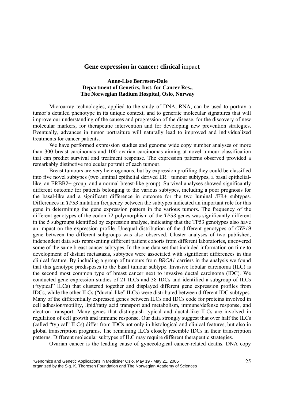#### **Gene expression in cancer: clinical** impac**t**

#### **Anne-Lise Børresen-Dale Department of Genetics, Inst. for Cancer Res., The Norwegian Radium Hospital, Oslo, Norway**

Microarray technologies, applied to the study of DNA, RNA, can be used to portray a tumor's detailed phenotype in its unique context, and to generate molecular signatures that will improve our understanding of the causes and progression of the disease, for the discovery of new molecular markers, for therapeutic intervention and for developing new prevention strategies. Eventually, advances in tumor portraiture will naturally lead to improved and individualized treatments for cancer patients.

We have performed expression studies and genome wide copy number analyses of more than 300 breast carcinomas and 100 ovarian carcinomas aiming at novel tumour classification that can predict survival and treatment response. The expression patterns observed provided a remarkably distinctive molecular portrait of each tumour.

Breast tumours are very heterogonous, but by expression profiling they could be classified into five novel subtypes (two luminal epithelial derived ER+ tumour subtypes, a basal epitheliallike, an ERBB2+ group, and a normal breast-like group). Survival analyses showed significantly different outcome for patients belonging to the various subtypes, including a poor prognosis for the basal-like and a significant difference in outcome for the two luminal /ER+ subtypes. Differences in *TP53* mutation frequency between the subtypes indicated an important role for this gene in determining the gene expression pattern in the various tumors. The frequency of the different genotypes of the codon 72 polymorphism of the *TP53* genes was significantly different in the 5 subgroups identified by expression analyse, indicating that the TP53 genotypes also have an impact on the expression profile. Unequal distribution of the different genotypes of *CYP19*  gene between the different subgroups was also observed. Cluster analyses of two published, independent data sets representing different patient cohorts from different laboratories, uncovered some of the same breast cancer subtypes. In the one data set that included information on time to development of distant metastasis, subtypes were associated with significant differences in this clinical feature. By including a group of tumours from *BRCA1* carriers in the analysis we found that this genotype predisposes to the basal tumour subtype. Invasive lobular carcinoma (ILC) is the second most common type of breast cancer next to invasive ductal carcinoma (IDC). We conducted gene expression studies of 21 ILCs and 38 IDCs and identified a subgroup of ILCs ("typical" ILCs) that clustered together and displayed different gene expression profiles from IDCs, while the other ILCs ("ductal-like" ILCs) were distributed between different IDC subtypes. Many of the differentially expressed genes between ILCs and IDCs code for proteins involved in cell adhesion/motility, lipid/fatty acid transport and metabolism, immune/defense response, and electron transport. Many genes that distinguish typical and ductal-like ILCs are involved in regulation of cell growth and immune response. Our data strongly suggest that over half the ILCs (called "typical" ILCs) differ from IDCs not only in histological and clinical features, but also in global transcription programs. The remaining ILCs closely resemble IDCs in their transcription patterns. Different molecular subtypes of ILC may require different therapeutic strategies.

Ovarian cancer is the leading cause of gynecological cancer-related deaths. DNA copy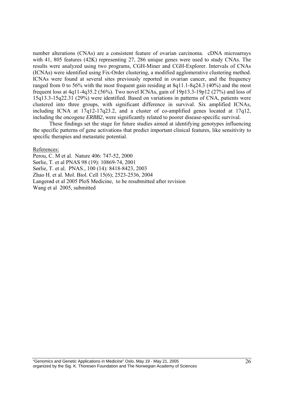number alterations (CNAs) are a consistent feature of ovarian carcinoma. cDNA microarrays with 41, 805 features (42K) representing 27, 286 unique genes were used to study CNAs. The results were analyzed using two programs, CGH-Miner and CGH-Explorer. Intervals of CNAs (ICNAs) were identified using Fix-Order clustering, a modified agglomerative clustering method. ICNAs were found at several sites previously reported in ovarian cancer, and the frequency ranged from 0 to 56% with the most frequent gain residing at 8q11.1-8q24.3 (40%) and the most frequent loss at 4q11-4q35.2 (56%). Two novel ICNAs, gain of  $19p13.3-19p12$  (27%) and loss of 15q13.3-15q22.31 (29%) were identified. Based on variations in patterns of CNA, patients were clustered into three groups, with significant difference in survival. Six amplified ICNAs, including ICNA at 17q12-17q23.2, and a cluster of co-amplified genes located at 17q12, including the oncogene *ERBB2*, were significantly related to poorer disease-specific survival.

These findings set the stage for future studies aimed at identifying genotypes influencing the specific patterns of gene activations that predict important clinical features, like sensitivity to specific therapies and metastatic potential.

References:

Perou, C. M et al. Nature 406: 747-52, 2000 Sørlie, T. et al PNAS 98 (19): 10869-74, 2001 Sørlie, T. et al. PNAS., 100 (14): 8418-8423, 2003 Zhao H. et al. Mol. Biol. Cell 15(6); 2523-2536, 2004 Langerød et al 2005 PloS Medicine, to be resubmitted after revision Wang et al 2005, submitted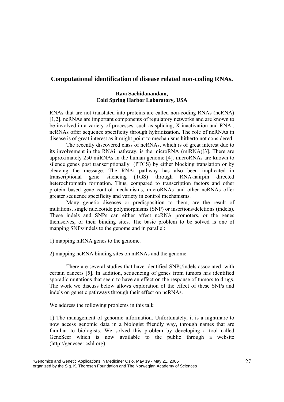# **Computational identification of disease related non-coding RNAs.**

#### **Ravi Sachidanandam, Cold Spring Harbor Laboratory, USA**

RNAs that are not translated into proteins are called non-coding RNAs (ncRNA) [1,2]. ncRNAs are important components of regulatory networks and are known to be involved in a variety of processes, such as splicing, X-inactivation and RNAi. ncRNAs offer sequence specificity through hybridization. The role of ncRNAs in disease is of great interest as it might point to mechanisms hitherto not considered.

The recently discovered class of ncRNAs, which is of great interest due to its involvement in the RNAi pathway, is the microRNA (miRNA)[3]. There are approximately 250 miRNAs in the human genome [4]. microRNAs are known to silence genes post transcriptionally (PTGS) by either blocking translation or by cleaving the message. The RNAi pathway has also been implicated in transcriptional gene silencing (TGS) through RNA-hairpin directed heterochromatin formation. Thus, compared to transcription factors and other protein based gene control mechanisms, microRNAs and other ncRNAs offer greater sequence specificity and variety in control mechanisms.

Many genetic diseases or predisposition to them, are the result of mutations, single nucleotide polymorphisms (SNP) or insertions/deletions (indels). These indels and SNPs can either affect ncRNA promoters, or the genes themselves, or their binding sites. The basic problem to be solved is one of mapping SNPs/indels to the genome and in parallel:

1) mapping mRNA genes to the genome.

2) mapping ncRNA binding sites on mRNAs and the genome.

There are several studies that have identified SNPs/indels associated with certain cancers [5]. In addition, sequencing of genes from tumors has identified sporadic mutations that seem to have an effect on the response of tumors to drugs. The work we discuss below allows exploration of the effect of these SNPs and indels on genetic pathways through their effect on ncRNAs.

We address the following problems in this talk

1) The management of genomic information. Unfortunately, it is a nightmare to now access genomic data in a biologist friendly way, through names that are familiar to biologists. We solved this problem by developing a tool called GeneSeer which is now available to the public through a website (http://geneseer.cshl.org).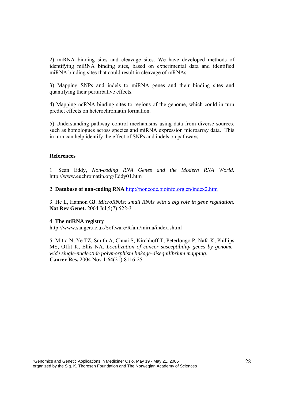2) miRNA binding sites and cleavage sites. We have developed methods of identifying miRNA binding sites, based on experimental data and identified miRNA binding sites that could result in cleavage of mRNAs.

3) Mapping SNPs and indels to miRNA genes and their binding sites and quantifying their perturbative effects.

4) Mapping ncRNA binding sites to regions of the genome, which could in turn predict effects on heterochromatin formation.

5) Understanding pathway control mechanisms using data from diverse sources, such as homologues across species and miRNA expression microarray data. This in turn can help identify the effect of SNPs and indels on pathways.

#### **References**

1. Sean Eddy, *Non-coding RNA Genes and the Modern RNA World.* http://www.euchromatin.org/Eddy01.htm

2. **Database of non-coding RNA** <http://noncode.bioinfo.org.cn/index2.htm>

3. He L, Hannon GJ. *MicroRNAs: small RNAs with a big role in gene regulation.* **Nat Rev Genet.** 2004 Jul;5(7):522-31.

#### 4. **The miRNA registry**

http://www.sanger.ac.uk/Software/Rfam/mirna/index.shtml

5. Mitra N, Ye TZ, Smith A, Chuai S, Kirchhoff T, Peterlongo P, Nafa K, Phillips MS, Offit K, Ellis NA. *Localization of cancer susceptibility genes by genomewide single-nucleotide polymorphism linkage-disequilibrium mapping.* **Cancer Res.** 2004 Nov 1;64(21):8116-25.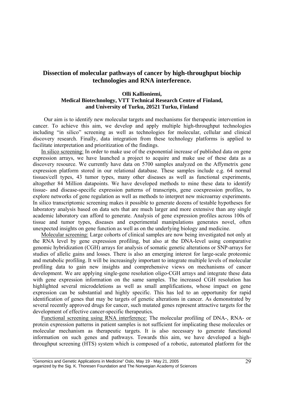# **Dissection of molecular pathways of cancer by high-throughput biochip technologies and RNA interference.**

#### **Olli Kallioniemi, Medical Biotechnology, VTT Technical Research Centre of Finland, and University of Turku, 20521 Turku, Finland**

 Our aim is to identify new molecular targets and mechanisms for therapeutic intervention in cancer. To achieve this aim, we develop and apply multiple high-throughput technologies including "in silico" screening as well as technologies for molecular, cellular and clinical discovery research. Finally, data integration from these technology platforms is applied to facilitate interpretation and prioritization of the findings.

 In silico screening: In order to make use of the exponential increase of published data on gene expression arrays, we have launched a project to acquire and make use of these data as a discovery resource. We currently have data on 5700 samples analyzed on the Affymetrix gene expression platform stored in our relational database. These samples include e.g. 64 normal tissues/cell types, 43 tumor types, many other diseases as well as functional experiments, altogether 84 Million datapoints. We have developed methods to mine these data to identify tissue- and disease-specific expression patterns of transcripts, gene coexpression profiles, to explore networks of gene regulation as well as methods to interpret new microarray experiments. In silico transcriptomic screening makes it possible to generate dozens of testable hypotheses for laboratory analysis based on data sets that are much larger and more extensive than any single academic laboratory can afford to generate. Analysis of gene expression profiles across 100s of tissue and tumor types, diseases and experimental manipulations generates novel, often unexpected insights on gene function as well as on the underlying biology and medicine.

 Molecular screening: Large cohorts of clinical samples are now being investigated not only at the RNA level by gene expression profiling, but also at the DNA-level using comparative genomic hybridization (CGH) arrays for analysis of somatic genetic alterations or SNP-arrays for studies of allelic gains and losses. There is also an emerging interest for large-scale proteomic and metabolic profiling. It will be increasingly important to integrate multiple levels of molecular profiling data to gain new insights and comprehensive views on mechanisms of cancer development. We are applying single-gene resolution oligo-CGH arrays and integrate these data with gene expression information on the same samples. The increased CGH resolution has highlighted several microdeletions as well as small amplifications, whose impact on gene expression can be substantial and highly specific. This has led to an opportunity for rapid identification of genes that may be targets of genetic alterations in cancer. As demonstrated by several recently approved drugs for cancer, such mutated genes represent attractive targets for the development of effective cancer-specific therapeutics.

 Functional screening using RNA interference: The molecular profiling of DNA-, RNA- or protein expression patterns in patient samples is not sufficient for implicating these molecules or molecular mechanism as therapeutic targets. It is also necessary to generate functional information on such genes and pathways. Towards this aim, we have developed a highthroughput screening (HTS) system which is composed of a robotic, automated platform for the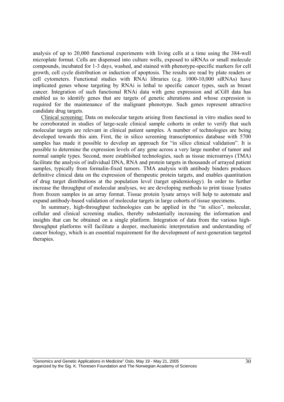analysis of up to 20,000 functional experiments with living cells at a time using the 384-well microplate format. Cells are dispensed into culture wells, exposed to siRNAs or small molecule compounds, incubated for 1-3 days, washed, and stained with phenotype-specific markers for cell growth, cell cycle distribution or induction of apoptosis. The results are read by plate readers or cell cytometers. Functional studies with RNAi libraries (e.g. 1000-10,000 siRNAs) have implicated genes whose targeting by RNAi is lethal to specific cancer types, such as breast cancer. Integration of such functional RNAi data with gene expression and aCGH data has enabled us to identify genes that are targets of genetic alterations and whose expression is required for the maintenance of the malignant phenotype. Such genes represent attractive candidate drug targets.

 Clinical screening: Data on molecular targets arising from functional in vitro studies need to be corroborated in studies of large-scale clinical sample cohorts in order to verify that such molecular targets are relevant in clinical patient samples. A number of technologies are being developed towards this aim. First, the in silico screening transcriptomics database with 5700 samples has made it possible to develop an approach for "in silico clinical validation". It is possible to determine the expression levels of any gene across a very large number of tumor and normal sample types. Second, more established technologies, such as tissue microarrays (TMA) facilitate the analysis of individual DNA, RNA and protein targets in thousands of arrayed patient samples, typically from formalin-fixed tumors. TMA analysis with antibody binders produces definitive clinical data on the expression of therapeutic protein targets, and enables quantitation of drug target distributions at the population level (target epidemiology). In order to further increase the throughput of molecular analyses, we are developing methods to print tissue lysates from frozen samples in an array format. Tissue protein lysate arrays will help to automate and expand antibody-based validation of molecular targets in large cohorts of tissue specimens.

 In summary, high-throughput technologies can be applied in the "in silico", molecular, cellular and clinical screening studies, thereby substantially increasing the information and insights that can be obtained on a single platform. Integration of data from the various highthroughput platforms will facilitate a deeper, mechanistic interpretation and understanding of cancer biology, which is an essential requirement for the development of next-generation targeted therapies.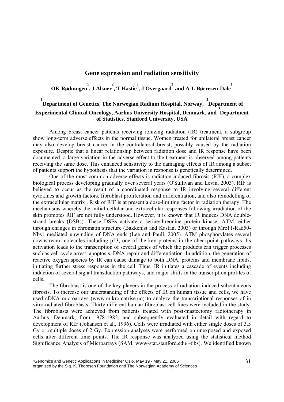## **Gene expression and radiation sensitivity**

**OK Rødningen 1 , J Alsner 2 , T Hastie 3 , J Overgaard 2 and A-L Børresen-Dale 1**

# **1 Department of Genetics, The Norwegian Radium Hospital, Norway, 2 Department of Experimental Clinical Oncology, Aarhus University Hospital, Denmark, and Department of Statistics, Stanford University, USA**

Among breast cancer patients receiving ionizing radiation (IR) treatment, a subgroup show long-term adverse effects in the normal tissue. Women treated for unilateral breast cancer may also develop breast cancer in the contralateral breast, possibly caused by the radiation exposure. Despite that a linear relationship between radiation dose and IR response have been documented, a large variation in the adverse effect to the treatment is observed among patients receiving the same dose. This enhanced sensitivity to the damaging effects of IR among a subset of patients support the hypothesis that the variation in response is genetically determined.

One of the most common adverse effects is radiation-induced fibrosis (RIF), a complex biological process developing gradually over several years (O'Sullivan and Levin, 2003). RIF is believed to occur as the result of a coordinated response to IR involving several different cytokines and growth factors, fibroblast proliferation and differentiation, and also remodelling of the extracellular matrix . Risk of RIF is at present a dose-limiting factor in radiation therapy. The mechanisms whereby the initial cellular and extracellular responses following irradiation of the skin promotes RIF are not fully understood. However, it is known that IR induces DNA doublestrand breaks (DSBs). These DSBs activate a serine/threonine protein kinase; ATM, either through changes in chromatin structure (Bakkenist and Kastan, 2003) or through Mre11-Rad50- Nbs1 mediated unwinding of DNA ends (Lee and Paull, 2005). ATM phosphorylates several downstream molecules including p53, one of the key proteins in the checkpoint pathways. Its activation leads to the transcription of several genes of which the products can trigger processes such as cell cycle arrest, apoptosis, DNA repair and differentiation. In addition, the generation of reactive oxygen species by IR can cause damage to both DNA, proteins and membrane lipids, initiating further stress responses in the cell. Thus, IR initiates a cascade of events including induction of several signal transduction pathways, and major shifts in the transcription profiles of cells.

The fibroblast is one of the key players in the process of radiation-induced subcutaneous fibrosis. To increase our understanding of the effects of IR on human tissue and cells, we have used cDNA microarrays (www.mikromatrise.no) to analyze the transcriptional responses of in vitro radiated fibroblasts. Thirty different human fibroblast cell lines were included in the study. The fibroblasts were achieved from patients treated with post-mastectomy radiotherapy in Aarhus, Denmark, from 1978-1982, and subsequently evaluated in detail with regard to development of RIF (Johansen et al., 1996). Cells were irradiated with either single doses of 3.5 Gy or multiple doses of 2 Gy. Expression analyses were performed on unexposed and exposed cells after different time points. The IR response was analyzed using the statistical method Significance Analysis of Microarrays (SAM, www-stat.stanford.edu/~tibs). We identified known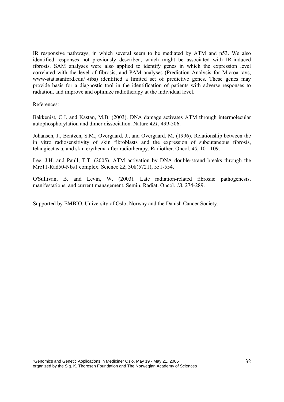IR responsive pathways, in which several seem to be mediated by ATM and p53. We also identified responses not previously described, which might be associated with IR-induced fibrosis. SAM analyses were also applied to identify genes in which the expression level correlated with the level of fibrosis, and PAM analyses (Prediction Analysis for Microarrays, www-stat.stanford.edu/~tibs) identified a limited set of predictive genes. These genes may provide basis for a diagnostic tool in the identification of patients with adverse responses to radiation, and improve and optimize radiotherapy at the individual level.

#### References:

Bakkenist, C.J. and Kastan, M.B. (2003). DNA damage activates ATM through intermolecular autophosphorylation and dimer dissociation. Nature *421*, 499-506.

Johansen, J., Bentzen, S.M., Overgaard, J., and Overgaard, M. (1996). Relationship between the in vitro radiosensitivity of skin fibroblasts and the expression of subcutaneous fibrosis, telangiectasia, and skin erythema after radiotherapy. Radiother. Oncol. *40*, 101-109.

Lee, J.H. and Paull, T.T. (2005). ATM activation by DNA double-strand breaks through the Mre11-Rad50-Nbs1 complex. Science *22*; 308(5721), 551-554.

O'Sullivan, B. and Levin, W. (2003). Late radiation-related fibrosis: pathogenesis, manifestations, and current management. Semin. Radiat. Oncol. *13*, 274-289.

Supported by EMBIO, University of Oslo, Norway and the Danish Cancer Society.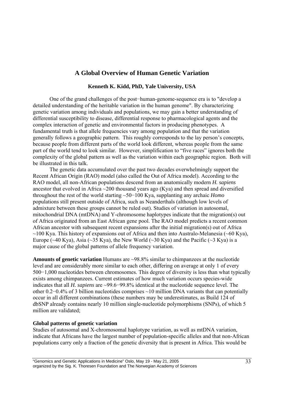# **A Global Overview of Human Genetic Variation**

#### **Kenneth K. Kidd, PhD, Yale University, USA**

One of the grand challenges of the post−human-genome-sequence era is to "develop a detailed understanding of the heritable variation in the human genome". By characterizing genetic variation among individuals and populations, we may gain a better understanding of differential susceptibility to disease, differential response to pharmacological agents and the complex interaction of genetic and environmental factors in producing phenotypes. A fundamental truth is that allele frequencies vary among population and that the variation generally follows a geographic pattern. This roughly corresponds to the lay person's concepts, because people from different parts of the world look different, whereas people from the same part of the world tend to look similar. However, simplification to "five races" ignores both the complexity of the global pattern as well as the variation within each geographic region. Both will be illustrated in this talk.

The genetic data accumulated over the past two decades overwhelmingly support the Recent African Origin (RAO) model (also called the Out of Africa model). According to the RAO model, all non-African populations descend from an anatomically modern *H. sapiens* ancestor that evolved in Africa  $\sim$ 200 thousand years ago (Kya) and then spread and diversified throughout the rest of the world starting ~50−100 Kya, supplanting any archaic *Homo* populations still present outside of Africa, such as Neanderthals (although low levels of admixture between these groups cannot be ruled out). Studies of variation in autosomal, mitochondrial DNA (mtDNA) and Y-chromosome haplotypes indicate that the migration(s) out of Africa originated from an East African gene pool. The RAO model predicts a recent common African ancestor with subsequent recent expansions after the initial migration(s) out of Africa  $\sim$ 100 Kya. This history of expansions out of Africa and then into Australo-Melanesia ( $\sim$ 60 Kya), Europe ( $\sim$ 40 Kya), Asia ( $\sim$ 35 Kya), the New World ( $\sim$ 30 Kya) and the Pacific ( $\sim$ 3 Kya) is a major cause of the global patterns of allele frequency variation.

**Amounts of genetic variation** Humans are ~98.8% similar to chimpanzees at the nucleotide level and are considerably more similar to each other, differing on average at only 1 of every 500−1,000 nucleotides between chromosomes. This degree of diversity is less than what typically exists among chimpanzees. Current estimates of how much variation occurs species-wide indicates that all *H. sapiens* are ~99.6−99.8% identical at the nucleotide sequence level. The other 0.2−0.4% of 3 billion nucleotides comprises ~10 million DNA variants that can potentially occur in all different combinations (these numbers may be underestimates, as Build 124 of dbSNP already contains nearly 10 million single-nucleotide polymorphisms (SNPs), of which 5 million are validated;

#### **Global patterns of genetic variation**

Studies of autosomal and X-chromosomal haplotype variation, as well as mtDNA variation, indicate that Africans have the largest number of population-specific alleles and that non-African populations carry only a fraction of the genetic diversity that is present in Africa. This would be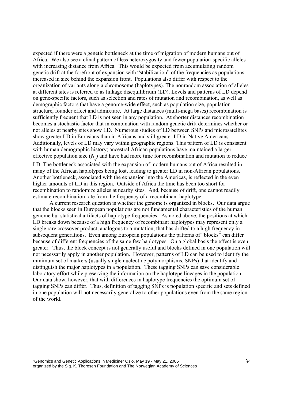expected if there were a genetic bottleneck at the time of migration of modern humans out of Africa. We also see a clinal pattern of less heterozygosity and fewer population-specific alleles with increasing distance from Africa. This would be expected from accumulating random genetic drift at the forefront of expansion with "stabilization" of the frequencies as populations increased in size behind the expansion front. Populations also differ with respect to the organization of variants along a chromosome (haplotypes). The nonrandom association of alleles at different sites is referred to as linkage disequilibrium (LD). Levels and patterns of LD depend on gene-specific factors, such as selection and rates of mutation and recombination, as well as demographic factors that have a genome-wide effect, such as population size, population structure, founder effect and admixture. At large distances (multi-mega bases) recombination is sufficiently frequent that LD is not seen in any population. At shorter distances recombination becomes a stochastic factor that in combination with random genetic drift determines whether or not alleles at nearby sites show LD. Numerous studies of LD between SNPs and microsatellites show greater LD in Eurasians than in Africans and still greater LD in Native Americans. Additionally, levels of LD may vary within geographic regions. This pattern of LD is consistent with human demographic history; ancestral African populations have maintained a larger effective population size  $(N_e)$  and have had more time for recombination and mutation to reduce

LD. The bottleneck associated with the expansion of modern humans out of Africa resulted in many of the African haplotypes being lost, leading to greater LD in non-African populations. Another bottleneck, associated with the expansion into the Americas, is reflected in the even higher amounts of LD in this region. Outside of Africa the time has been too short for recombination to randomize alleles at nearby sites. And, because of drift, one cannot readily estimate recombination rate from the frequency of a recombinant haplotype.

A current research question is whether the genome is organized in blocks. Our data argue that the blocks seen in European populations are not fundamental characteristics of the human genome but statistical artifacts of haplotype frequencies. As noted above, the positions at which LD breaks down because of a high frequency of recombinant haplotypes may represent only a single rare crossover product, analogous to a mutation, that has drifted to a high frequency in subsequent generations. Even among European populations the patterns of "blocks" can differ because of different frequencies of the same few haplotypes. On a global basis the effect is even greater. Thus, the block concept is not generally useful and blocks defined in one population will not necessarily apply in another population. However, patterns of LD can be used to identify the minimum set of markers (usually single nucleotide polymorphisms, SNPs) that identify and distinguish the major haplotypes in a population. These tagging SNPs can save considerable laboratory effort while preserving the information on the haplotype lineages in the population. Our data show, however, that with differences in haplotype frequencies the optimum set of tagging SNPs can differ. Thus, definition of tagging SNPs is population specific and sets defined in one population will not necessarily generalize to other populations even from the same region of the world.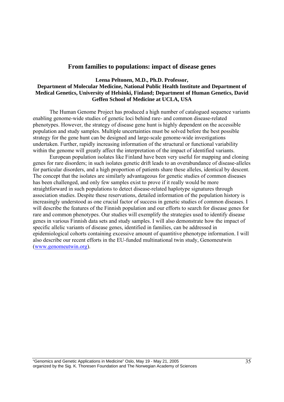## **From families to populations: impact of disease genes**

#### **Leena Peltonen, M.D., Ph.D. Professor, Department of Molecular Medicine, National Public Health Institute and Department of Medical Genetics, University of Helsinki, Finland; Department of Human Genetics, David Geffen School of Medicine at UCLA, USA**

The Human Genome Project has produced a high number of catalogued sequence variants enabling genome-wide studies of genetic loci behind rare- and common disease-related phenotypes. However, the strategy of disease gene hunt is highly dependent on the accessible population and study samples. Multiple uncertainties must be solved before the best possible strategy for the gene hunt can be designed and large-scale genome-wide investigations undertaken. Further, rapidly increasing information of the structural or functional variability within the genome will greatly affect the interpretation of the impact of identified variants.

European population isolates like Finland have been very useful for mapping and cloning genes for rare disorders; in such isolates genetic drift leads to an overabundance of disease-alleles for particular disorders, and a high proportion of patients share these alleles, identical by descent. The concept that the isolates are similarly advantageous for genetic studies of common diseases has been challenged, and only few samples exist to prove if it really would be more straightforward in such populations to detect disease-related haplotype signatures through association studies. Despite these reservations, detailed information of the population history is increasingly understood as one crucial factor of success in genetic studies of common diseases. I will describe the features of the Finnish population and our efforts to search for disease genes for rare and common phenotypes. Our studies will exemplify the strategies used to identify disease genes in various Finnish data sets and study samples. I will also demonstrate how the impact of specific allelic variants of disease genes, identified in families, can be addressed in epidemiological cohorts containing excessive amount of quantitive phenotype information. I will also describe our recent efforts in the EU-funded multinational twin study, Genomeutwin [\(www.genomeutwin.org\)](http://www.genomeutwin.org/).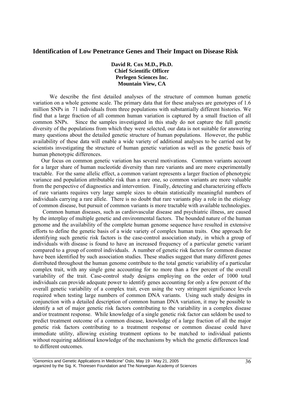### **Identification of Low Penetrance Genes and Their Impact on Disease Risk**

#### **David R. Cox M.D., Ph.D. Chief Scientific Officer Perlegen Sciences Inc. Mountain View, CA**

We describe the first detailed analyses of the structure of common human genetic variation on a whole genome scale. The primary data that for these analyses are genotypes of 1.6 million SNPs in 71 individuals from three populations with substantially different histories. We find that a large fraction of all common human variation is captured by a small fraction of all common SNPs. Since the samples investigated in this study do not capture the full genetic diversity of the populations from which they were selected, our data is not suitable for answering many questions about the detailed genetic structure of human populations. However, the public availability of these data will enable a wide variety of additional analyses to be carried out by scientists investigating the structure of human genetic variation as well as the genetic basis of human phenotypic differences.

 Our focus on common genetic variation has several motivations. Common variants account for a larger share of human nucleotide diversity than rare variants and are more experimentally tractable. For the same allelic effect, a common variant represents a larger fraction of phenotypic variance and population attributable risk than a rare one, so common variants are more valuable from the perspective of diagnostics and intervention. Finally, detecting and characterizing effects of rare variants requires very large sample sizes to obtain statistically meaningful numbers of individuals carrying a rare allele. There is no doubt that rare variants play a role in the etiology of common disease, but pursuit of common variants is more tractable with available technologies.

 Common human diseases, such as cardiovascular disease and psychiatric illness, are caused by the interplay of multiple genetic and environmental factors. The bounded nature of the human genome and the availability of the complete human genome sequence have resulted in extensive efforts to define the genetic basis of a wide variety of complex human traits. One approach for identifying such genetic risk factors is the case-control association study, in which a group of individuals with disease is found to have an increased frequency of a particular genetic variant compared to a group of control individuals. A number of genetic risk factors for common disease have been identified by such association studies. These studies suggest that many different genes distributed throughout the human genome contribute to the total genetic variability of a particular complex trait, with any single gene accounting for no more than a few percent of the overall variability of the trait. Case-control study designs employing on the order of 1000 total individuals can provide adequate power to identify genes accounting for only a few percent of the overall genetic variability of a complex trait, even using the very stringent significance levels required when testing large numbers of common DNA variants. Using such study designs in conjunction with a detailed description of common human DNA variation, it may be possible to identify a set of major genetic risk factors contributing to the variability in a complex disease and/or treatment response. While knowledge of a single genetic risk factor can seldom be used to predict treatment outcome of a common disease, knowledge of a large fraction of all the major genetic risk factors contributing to a treatment response or common disease could have immediate utility, allowing existing treatment options to be matched to individual patients without requiring additional knowledge of the mechanisms by which the genetic differences lead to different outcomes.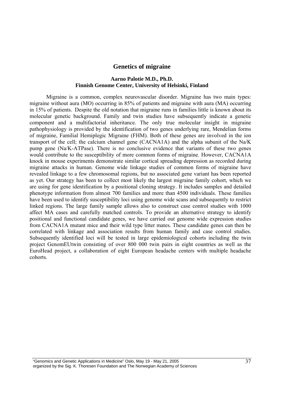### **Genetics of migraine**

#### **Aarno Palotie M.D., Ph.D. Finnish Genome Center, University of Helsinki, Finland**

Migraine is a common, complex neurovascular disorder. Migraine has two main types: migraine without aura (MO) occurring in 85% of patients and migraine with aura (MA) occurring in 15% of patients. Despite the old notation that migraine runs in families little is known about its molecular genetic background. Family and twin studies have subsequently indicate a genetic component and a multifactorial inheritance. The only true molecular insight in migraine pathophysiology is provided by the identification of two genes underlying rare, Mendelian forms of migraine, Familial Hemiplegic Migraine (FHM). Both of these genes are involved in the ion transport of the cell; the calcium channel gene (CACNA1A) and the alpha subunit of the Na/K pump gene (Na/K-ATPase). There is no conclusive evidence that variants of these two genes would contribute to the susceptibility of more common forms of migraine. However, CACNA1A knock in mouse experiments demonstrate similar cortical spreading depression as recorded during migraine attacks in human. Genome wide linkage studies of common forms of migraine have revealed linkage to a few chromosomal regions, but no associated gene variant has been reported as yet. Our strategy has been to collect most likely the largest migraine family cohort, which we are using for gene identification by a positional cloning strategy. It includes samples and detailed phenotype information from almost 700 families and more than 4500 individuals. These families have been used to identify susceptibility loci using genome wide scans and subsequently to restrict linked regions. The large family sample allows also to construct case control studies with 1000 affect MA cases and carefully matched controls. To provide an alternative strategy to identify positional and functional candidate genes, we have carried out genome wide expression studies from CACNA1A mutant mice and their wild type litter mates. These candidate genes can then be correlated with linkage and association results from human family and case control studies. Subsequently identified loci will be tested in large epidemiological cohorts including the twin project GenomEUtwin consisting of over 800 000 twin pairs in eight countries as well as the EuroHead project, a collaboration of eight European headache centers with multiple headache cohorts.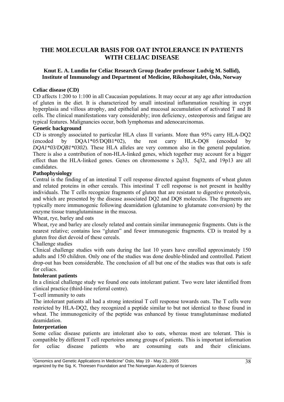# **THE MOLECULAR BASIS FOR OAT INTOLERANCE IN PATIENTS WITH CELIAC DISEASE**

## **Knut E. A. Lundin for Celiac Research Group (leader professor Ludvig M. Sollid), Institute of Immunology and Department of Medicine, Rikshospitalet, Oslo, Norway**

#### **Celiac disease (CD)**

CD affects 1:200 to 1:100 in all Caucasian populations. It may occur at any age after introduction of gluten in the diet. It is characterized by small intestinal inflammation resulting in crypt hyperplasia and villous atrophy, and epithelial and mucosal accumulation of activated T and B cells. The clinical manifestations vary considerably; iron deficiency, osteoporosis and fatigue are typical features. Malignancies occur, both lymphomas and adenocarcinomas.

#### **Genetic background**

CD is strongly associated to particular HLA class II variants. More than 95% carry HLA-DQ2 (encoded by DQA1\*05/DQB1\*02), the rest carry HLA-DQ8 (encoded by *DQA1\*03/DQB1\*0302*). These HLA alleles are very common also in the general population. There is also a contribution of non-HLA-linked genes, which together may account for a bigger effect than the HLA-linked genes. Genes on chromosome s 2q33, 5q32, and 19p13 are all candidates.

#### **Pathophysiology**

Central is the finding of an intestinal T cell response directed against fragments of wheat gluten and related proteins in other cereals. This intestinal T cell response is not present in healthy individuals. The T cells recognize fragments of gluten that are resistant to digestive proteolysis, and which are presented by the disease associated DQ2 and DQ8 molecules. The fragments are typically more immunogenic following deamidation (glutamine to glutamate conversion) by the enzyme tissue transglutaminase in the mucosa.

Wheat, rye, barley and oats

Wheat, rye and barley are closely related and contain similar immunogenic fragments. Oats is the nearest relative; contains less "gluten" and fewer immunogenic fragments. CD is treated by a gluten free diet devoid of these cereals.

Challenge studies

Clinical challenge studies with oats during the last 10 years have enrolled approximately 150 adults and 150 children. Only one of the studies was done double-blinded and controlled. Patient drop-out has been considerable. The conclusion of all but one of the studies was that oats is safe for celiacs.

#### **Intolerant patients**

In a clinical challenge study we found one oats intolerant patient. Two were later identified from clinical practice (third-line referral centre).

T-cell immunity to oats

The intolerant patients all had a strong intestinal T cell response towards oats. The T cells were restricted by HLA-DQ2, they recognized a peptide similar to but not identical to those found in wheat. The immunogenicity of the peptide was enhanced by tissue transglutaminase mediated deamidation.

#### **Interpretation**

Some celiac disease patients are intolerant also to oats, whereas most are tolerant. This is compatible by different T cell repertoires among groups of patients. This is important information for celiac disease patients who are consuming oats and their clinicians.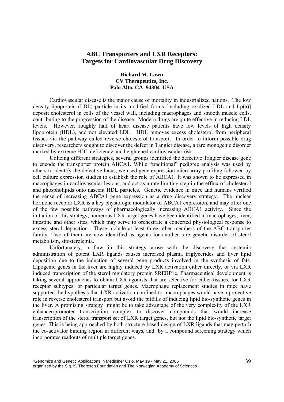## **ABC Transporters and LXR Receptors: Targets for Cardiovascular Drug Discovery**

#### **Richard M. Lawn CV Therapeutics, Inc. Palo Alto, CA 94304 USA**

Cardiovascular disease is the major cause of mortality in industrialized nations. The low density lipoprotein (LDL) particle in its modified forms [including oxidized LDL and Lp(a)] deposit cholesterol in cells of the vessel wall, including macrophages and smooth muscle cells, contributing to the progression of the disease. Modern drugs are quite effective in reducing LDL levels. However, roughly half of heart disease patients have low levels of high density lipoprotein (HDL), and not elevated LDL. HDL removes excess cholesterol from peripheral tissues via the pathway called reverse cholesterol transport. In order to inform possible drug discovery, researchers sought to discover the defect in Tangier disease, a rare monogenic disorder marked by extreme HDL deficiency and heightened cardiovascular risk.

Utilizing different strategies, several groups identified the defective Tangier disease gene to encode the transporter protein ABCA1. While "traditional" pedigree analysis was used by others to identify the defective locus, we used gene expression microarray profiling followed by cell culture expression studies to establish the role of ABCA1. It was shown to be expressed in macrophages in cardiovascular lesions, and act as a rate limiting step in the efflux of cholesterol and phospholipids onto nascent HDL particles. Genetic evidence in mice and humans verified the sense of increasing ABCA1 gene expression as a drug discovery strategy. The nuclear hormone receptor LXR is a key physiologic modulator of ABCA1 expression, and may offer one of the few possible pathways of pharmacologically increasing ABCA1 activity. Since the initiation of this strategy, numerous LXR target genes have been identified in macrophages, liver, intestine and other sites, which may serve to orchestrate a concerted physiological response to excess sterol deposition. These include at least three other members of the ABC transporter family. Two of them are now identified as agents for another rare genetic disorder of sterol metabolism, sitosterolemia.

Unfortunately, a flaw in this strategy arose with the discovery that systemic administration of potent LXR ligands causes increased plasma triglycerides and liver lipid deposition due to the induction of several gene products involved in the synthesis of fats. Lipogenic genes in the liver are highly induced by LXR activation either directly, or via LXR induced transcription of the sterol regulatory protein SREBP1c. Pharmaceutical development is taking several approaches to obtain LXR agonists that are selective for either tissues, for LXR receptor subtypes, or particular target genes. Macrophage replacement studies in mice have supported the hypothesis that LXR activation confined to macrophages would have a protective role in reverse cholesterol transport but avoid the pitfalls of inducing lipid bio-synthetic genes in the liver. A promising strategy might be to take advantage of the very complexity of the LXR enhancer/promoter transcription complex to discover compounds that would increase transcription of the sterol transport set of LXR target genes, but not the lipid bio-synthetic target genes. This is being approached by both structure-based design of LXR ligands that may perturb the co-activator binding region in different ways, and by a compound screening strategy which incorporates readouts of multiple target genes.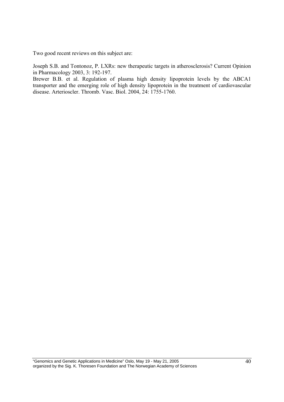Two good recent reviews on this subject are:

Joseph S.B. and Tontonoz, P. LXRs: new therapeutic targets in atherosclerosis? Current Opinion in Pharmacology 2003, 3: 192-197.

Brewer B.B. et al. Regulation of plasma high density lipoprotein levels by the ABCA1 transporter and the emerging role of high density lipoprotein in the treatment of cardiovascular disease. Arterioscler. Thromb. Vasc. Biol. 2004, 24: 1755-1760.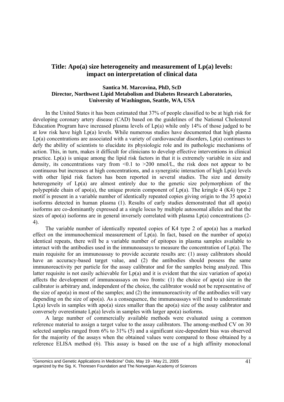# **Title: Apo(a) size heterogeneity and measurement of Lp(a) levels: impact on interpretation of clinical data**

#### **Santica M. Marcovina, PhD, ScD Director, Northwest Lipid Metabolism and Diabetes Research Laboratories, University of Washington, Seattle, WA, USA**

In the United States it has been estimated that 37% of people classified to be at high risk for developing coronary artery disease (CAD) based on the guidelines of the National Cholesterol Education Program have increased plasma levels of Lp(a) while only 14% of those judged to be at low risk have high Lp(a) levels. While numerous studies have documented that high plasma Lp(a) concentrations are associated with a variety of cardiovascular disorders, Lp(a) continues to defy the ability of scientists to elucidate its physiologic role and its pathologic mechanisms of action. This, in turn, makes it difficult for clinicians to develop effective interventions in clinical practice. Lp(a) is unique among the lipid risk factors in that it is extremely variable in size and density, its concentrations vary from  $\leq 0.1$  to  $\geq 200$  nmol/L, the risk does not appear to be continuous but increases at high concentrations, and a synergistic interaction of high Lp(a) levels with other lipid risk factors has been reported in several studies. The size and density heterogeneity of Lp(a) are almost entirely due to the genetic size polymorphism of the polypeptide chain of apo(a), the unique protein component of  $Lp(a)$ . The kringle 4 (K4) type 2 motif is present in a variable number of identically repeated copies giving origin to the 35 apo(a) isoforms detected in human plasma (1). Results of early studies demonstrated that all apo(a) isoforms are co-dominantly expressed at a single locus by multiple autosomal alleles and that the sizes of apo(a) isoforms are in general inversely correlated with plasma Lp(a) concentrations (2- 4).

The variable number of identically repeated copies of K4 type 2 of apo(a) has a marked effect on the immunochemical measurement of  $Lp(a)$ . In fact, based on the number of apo(a) identical repeats, there will be a variable number of epitopes in plasma samples available to interact with the antibodies used in the immunoassays to measure the concentration of  $Lp(a)$ . The main requisite for an immunoassay to provide accurate results are: (1) assay calibrators should have an accuracy-based target value, and (2) the antibodies should possess the same immunoreactivity per particle for the assay calibrator and for the samples being analyzed. This latter requisite is not easily achievable for  $Lp(a)$  and it is evident that the size variation of apo(a) affects the development of immunoassays on two fronts: (1) the choice of apo(a) size in the calibrator is arbitrary and, independent of the choice, the calibrator would not be representative of the size of apo(a) in most of the samples; and (2) the immunoreactivity of the antibodies will vary depending on the size of apo(a). As a consequence, the immunoassays will tend to underestimate Lp(a) levels in samples with apo(a) sizes smaller than the apo(a) size of the assay calibrator and conversely overestimate Lp(a) levels in samples with larger apo(a) isoforms.

A large number of commercially available methods were evaluated using a common reference material to assign a target value to the assay calibrators. The among-method CV on 30 selected samples ranged from 6% to 31% (5) and a significant size-dependent bias was observed for the majority of the assays when the obtained values were compared to those obtained by a reference ELISA method (6). This assay is based on the use of a high affinity monoclonal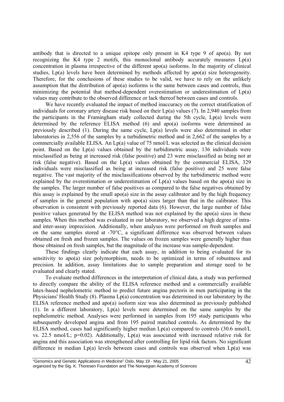antibody that is directed to a unique epitope only present in K4 type 9 of apo(a). By not recognizing the K4 type 2 motifs, this monoclonal antibody accurately measures Lp(a) concentration in plasma irrespective of the different apo(a) isoforms. In the majority of clinical studies, Lp(a) levels have been determined by methods affected by apo(a) size heterogeneity. Therefore, for the conclusions of these studies to be valid, we have to rely on the unlikely assumption that the distribution of apo(a) isoforms is the same between cases and controls, thus minimizing the potential that method-dependent overestimation or underestimation of Lp(a) values may contribute to the observed difference or lack thereof between cases and controls.

We have recently evaluated the impact of method inaccuracy on the correct stratification of individuals for coronary artery disease risk based on their  $Lp(a)$  values (7). In 2,940 samples from the participants in the Framingham study collected during the 5th cycle, Lp(a) levels were determined by the reference ELISA method (6) and apo(a) isoforms were determined as previously described (1). During the same cycle, Lp(a) levels were also determined in other laboratories in 2,556 of the samples by a turbidimetric method and in 2,662 of the samples by a commercially available ELISA. An Lp(a) value of 75 nmol/L was selected as the clinical decision point. Based on the Lp(a) values obtained by the turbidimetric assay, 136 individuals were misclassified as being at increased risk (false positive) and 23 were misclassified as being not at risk (false negative). Based on the Lp(a) values obtained by the commercial ELISA, 329 individuals were misclassified as being at increased risk (false positive) and 25 were false negative. The vast majority of the misclassifications observed by the turbidimetric method were explained by the overestimation or underestimation of Lp(a) values based on the apo(a) size in the samples. The larger number of false positives as compared to the false negatives obtained by this assay is explained by the small apo(a) size in the assay calibrator and by the high frequency of samples in the general population with apo(a) sizes larger than that in the calibrator. This observation is consistent with previously reported data (6). However, the large number of false positive values generated by the ELISA method was not explained by the apo(a) sizes in these samples. When this method was evaluated in our laboratory, we observed a high degree of intraand inter-assay imprecision. Additionally, when analyses were performed on fresh samples and on the same samples stored at -70°C, a significant difference was observed between values obtained on fresh and frozen samples. The values on frozen samples were generally higher than those obtained on fresh samples, but the magnitude of the increase was sample-dependent.

These findings clearly indicate that each assay, in addition to being evaluated for its sensitivity to apo(a) size polymorphism, needs to be optimized in terms of robustness and precision. In addition, assay limitations due to sample preparation and storage need to be evaluated and clearly stated.

To evaluate method differences in the interpretation of clinical data, a study was performed to directly compare the ability of the ELISA reference method and a commercially available latex-based nephelometric method to predict future angina pectoris in men participating in the Physicians' Health Study (8). Plasma Lp(a) concentration was determined in our laboratory by the ELISA reference method and apo(a) isoform size was also determined as previously published (1). In a different laboratory, Lp(a) levels were determined on the same samples by the nephelometric method. Analyses were performed in samples from 195 study participants who subsequently developed angina and from 195 paired matched controls. As determined by the ELISA method, cases had significantly higher median Lp(a) compared to controls (30.6 nmol/L vs. 22.5 nmol/L;  $p=0.02$ ). Additionally, L $p(a)$  was associated with increased relative risk for angina and this association was strengthened after controlling for lipid risk factors. No significant difference in median Lp(a) levels between cases and controls was observed when Lp(a) was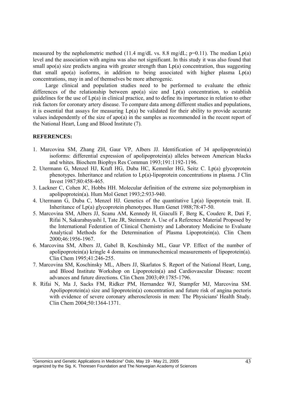measured by the nephelometric method (11.4 mg/dL vs. 8.8 mg/dL;  $p=0.11$ ). The median Lp(a) level and the association with angina was also not significant. In this study it was also found that small apo(a) size predicts angina with greater strength than  $Lp(a)$  concentration, thus suggesting that small apo(a) isoforms, in addition to being associated with higher plasma  $Lp(a)$ concentrations, may in and of themselves be more atherogenic.

Large clinical and population studies need to be performed to evaluate the ethnic differences of the relationship between apo(a) size and  $Lp(a)$  concentration, to establish guidelines for the use of Lp(a) in clinical practice, and to define its importance in relation to other risk factors for coronary artery disease. To compare data among different studies and populations, it is essential that assays for measuring Lp(a) be validated for their ability to provide accurate values independently of the size of apo(a) in the samples as recommended in the recent report of the National Heart, Lung and Blood Institute (7).

#### **REFERENCES:**

- 1. Marcovina SM, Zhang ZH, Gaur VP, Albers JJ. Identification of 34 apolipoprotein(a) isoforms: differential expression of apolipoprotein(a) alleles between American blacks and whites*.* Biochem Biophys Res Commun 1993;191:1192-1196.
- 2. Utermann G, Menzel HJ, Kraft HG, Duba HC, Kemmler HG, Seitz C. Lp(a) glycoprotein phenotypes. Inheritance and relation to Lp(a)-lipoprotein concentrations in plasma*.* J Clin Invest 1987;80:458-465.
- 3. Lackner C, Cohen JC, Hobbs HH. Molecular definition of the extreme size polymorphism in apolipoprotein(a)*.* Hum Mol Genet 1993;2:933-940.
- 4. Utermann G, Duba C, Menzel HJ. Genetics of the quantitative Lp(a) lipoprotein trait. II. Inheritance of Lp(a) glycoprotein phenotypes*.* Hum Genet 1988;78:47-50.
- 5. Marcovina SM, Albers JJ, Scanu AM, Kennedy H, Giaculli F, Berg K, Couderc R, Dati F, Rifai N, Sakurabayashi I, Tate JR, Steinmetz A. Use of a Reference Material Proposed by the International Federation of Clinical Chemistry and Laboratory Medicine to Evaluate Analytical Methods for the Determination of Plasma Lipoprotein(a)*.* Clin Chem 2000;46:1956-1967.
- 6. Marcovina SM, Albers JJ, Gabel B, Koschinsky ML, Gaur VP. Effect of the number of apolipoprotein(a) kringle 4 domains on immunochemical measurements of lipoprotein(a)*.*  Clin Chem 1995;41:246-255.
- 7. Marcovina SM, Koschinsky ML, Albers JJ, Skarlatos S. Report of the National Heart, Lung, and Blood Institute Workshop on Lipoprotein(a) and Cardiovascular Disease: recent advances and future directions*.* Clin Chem 2003;49:1785-1796.
- 8. Rifai N, Ma J, Sacks FM, Ridker PM, Hernandez WJ, Stampfer MJ, Marcovina SM. Apolipoprotein(a) size and lipoprotein(a) concentration and future risk of angina pectoris with evidence of severe coronary atherosclerosis in men: The Physicians' Health Study*.*  Clin Chem 2004;50:1364-1371.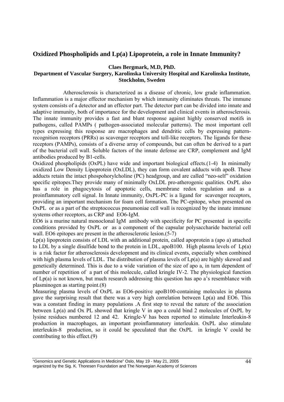# **Oxidized Phospholipids and Lp(a) Lipoprotein, a role in Innate Immunity?**

## **Claes Bergmark, M.D, PhD.**

#### **Department of Vascular Surgery, Karolinska University Hospital and Karolinska Institute, Stockholm, Sweden**

Atherosclerosis is characterized as a disease of chronic, low grade inflammation. Inflammation is a major effector mechanism by which immunity eliminates threats. The immune system consists of a detector and an effector part. The detector part can be divided into innate and adaptive immunity, both of importance for the development and clinical events in atherosclerosis. The innate immunity provides a fast and blunt response against highly conserved motifs in pathogens, called PAMPs ( pathogen-associated molecular patterns). The most important cell types expressing this response are macrophages and dendritic cells by expressing patternrecognition receptors (PRRs) as scavenger receptors and toll-like receptors. The ligands for these receptors (PAMPs), consists of a diverse array of compounds, but can often be derived to a part of the bacterial cell wall. Soluble factors of the innate defense are CRP, complement and IgM antibodies produced by B1-cells.

Oxidized phospholipids (OxPL) have wide and important biological effects.(1-4) In minimally oxidized Low Density Lipoprotein (OxLDL), they can form covalent adducts with apoB. These adducts retain the intact phospohorylcholine (PC) headgroup, and are called "neo-self" oxidation specific epitopes.They provide many of minimally OxLDL pro-atherogenic qualities. OxPL also has a role in phagocytosis of apoptotic cells, membrane redox regulation and as a proinflammatory cell signal. In Innate immunity, OxPL-PC is a ligand for scavenger receptors, providing an important mechanism for foam cell formation. The PC-epitope, when presented on OxPL or as a part of the streptococcus pneumoniae cell wall is recognized by the innate immune systems other receptors, as CRP and EO6-IgM.

EO6 is a murine natural monoclonal IgM antibody with specificity for PC presented in specific conditions provided by OxPL or as a component of the capsular polysaccharide bacterial cell wall. EO6 epitopes are present in the atherosclerotic lesion.(5-7)

Lp(a) lipoprotein consists of LDL with an additional protein, called apoprotein a (apo a) attached to LDL by a single disulfide bond to the protein in LDL, apoB100. High plasma levels of Lp(a) is a risk factor for atherosclerosis development and its clinical events, especially when combined with high plasma levels of LDL. The distribution of plasma levels of Lp(a) are highly skewed and genetically determined. This is due to a wide variation of the size of apo a, in turn dependent of number of repetition of a part of this molecule, called kringle IV-2. The physiological function of Lp(a) is not known, but much research addressing this question has apo a's resemblance with plasminogen as starting point.(8)

Measuring plasma levels of OxPL as EO6-positive apoB100-containing molecules in plasma gave the surprising result that there was a very high correlation between  $Lp(a)$  and EO6. This was a constant finding in many populations .A first step to reveal the nature of the association between Lp(a) and Ox PL showed that kringle V in apo a could bind 2 molecules of OxPL by lysine residues numbered 12 and 42. Kringle-V has been reported to stimulate Interleukin-8 production in macrophages, an important proinflammatory interleukin. OxPL also stimulate interleukin-8 production, so it could be speculated that the OxPL in kringle V could be contributing to this effect.(9)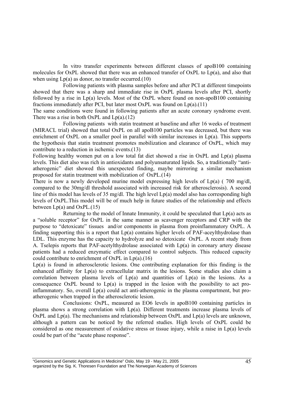In vitro transfer experiments between different classes of apoB100 containing molecules for OxPL showed that there was an enhanced transfer of OxPL to Lp(a), and also that when using  $Lp(a)$  as donor, no transfer occurred.(10)

Following patients with plasma samples before and after PCI at different timepoints showed that there was a sharp and immediate rise in OxPL plasma levels after PCI, shortly followed by a rise in Lp(a) levels. Most of the OxPL where found on non-apoB100 containing fractions immediately after PCI, but later most OxPL was found on  $Lp(a)$ .(11)

The same conditions were found in following patients after an acute coronary syndrome event. There was a rise in both OxPL and  $Lp(a)$ .(12)

Following patients with statin treatment at baseline and after 16 weeks of treatment (MIRACL trial) showed that total OxPL on all apoB100 particles was decreased, but there was enrichment of OxPL on a smaller pool in parallel with similar increases in Lp(a). This supports the hypothesis that statin treatment promotes mobilization and clearance of OxPL, which may contribute to a reduction in ischemic events.(13)

Following healthy women put on a low total fat diet showed a rise in OxPL and Lp(a) plasma levels. This diet also was rich in antioxidants and polyunsaturated lipids. So, a traditionally "antiatherogenic" diet showed this unexpected finding, maybe mirroring a similar mechanism proposed for statin treatment with mobilization of OxPL.(14)

There is now a newly developed murine model expressing high levels of Lp(a) ( 700 mg/dl, compared to the 30mg/dl threshold associated with increased risk for atherosclerosis). A second line of this model has levels of 35 mg/dl. The high level Lp(a) model also has corresponding high levels of OxPL.This model will be of much help in future studies of the relationship and effects between  $Lp(a)$  and  $OxPL(15)$ 

Returning to the model of Innate Immunity, it could be speculated that  $Lp(a)$  acts as a "soluble receptor" for OxPL in the same manner as scavenger receptors and CRP with the purpose to "detoxicate" tissues and/or components in plasma from proinflammatory OxPL. A finding supporting this is a report that Lp(a) contains higher levels of PAF-aceylthydrolase than LDL. This enzyme has the capacity to hydrolyze and so detoxicate OxPL. A recent study from A. Tselepis reports that PAF-acetylthydrolase associated with Lp(a) in coronary artery disease patients had a reduced enzymatic effect compared to control subjects. This reduced capacity could contribute to enrichment of  $OxPL$  in  $Lp(a)$ .(16)

Lp(a) is found in atherosclerotic lesions. One contributing explanation for this finding is the enhanced affinity for Lp(a) to extracellular matrix in the lesions. Some studies also claim a correlation between plasma levels of Lp(a) and quantities of Lp(a) in the lesions. As a consequence  $OxPL$  bound to  $Lp(a)$  is trapped in the lesion with the possibility to act proinflammatory. So, overall Lp(a) could act anti-atherogenic in the plasma compartment, but proatherogenic when trapped in the atherosclerotic lesion.

Conclusions: OxPL, measured as EO6 levels in apoB100 containing particles in plasma shows a strong correlation with Lp(a). Different treatments increase plasma levels of OxPL and Lp(a). The mechanisms and relationship between OxPL and Lp(a) levels are unknown, although a pattern can be noticed by the referred studies. High levels of OxPL could be considered as one measurement of oxidative stress or tissue injury, while a raise in Lp(a) levels could be part of the "acute phase response".

"Genomics and Genetic Applications in Medicine" Oslo, May 19 - May 21, 2005 organized by the Sig. K. Thoresen Foundation and The Norwegian Academy of Sciences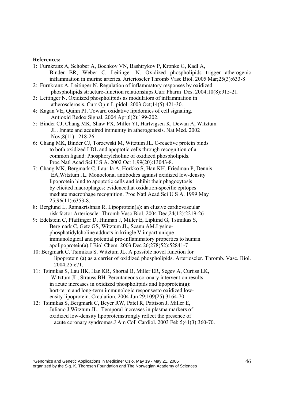#### **References:**

- 1: Furnkranz A, Schober A, Bochkov VN, Bashtrykov P, Kronke G, Kadl A, Binder BR, Weber C, Leitinger N. Oxidized phospholipids trigger atherogenic inflammation in murine arteries. Arterioscler Thromb Vasc Biol. 2005 Mar;25(3):633-8
- 2: Furnkranz A, Leitinger N. Regulation of inflammatory responses by oxidized phospholipids:structure-function relationships.Curr Pharm Des. 2004;10(8):915-21.
- 3: Leitinger N. Oxidized phospholipids as modulators of inflammation in atherosclerosis. Curr Opin Lipidol. 2003 Oct;14(5):421-30.
- 4: Kagan VE, Quinn PJ. Toward oxidative lipidomics of cell signaling. Antioxid Redox Signal. 2004 Apr;6(2):199-202.
- 5: Binder CJ, Chang MK, Shaw PX, Miller YI, Hartvigsen K, Dewan A, Witztum JL. Innate and acquired immunity in atherogenesis. Nat Med. 2002 Nov;8(11):1218-26.
- 6: Chang MK, Binder CJ, Torzewski M, Witztum JL. C-reactive protein binds to both oxidized LDL and apoptotic cells through recognition of a common ligand: Phosphorylcholine of oxidized phospholipids. Proc Natl Acad Sci U S A. 2002 Oct 1;99(20):13043-8.
- 7: Chang MK, Bergmark C, Laurila A, Horkko S, Han KH, Friedman P, Dennis EA,Witztum JL. Monoclonal antibodies against oxidized low-density lipoprotein bind to apoptotic cells and inhibit their phagocytosis by elicited macrophages: evidencethat oxidation-specific epitopes mediate macrophage recognition. Proc Natl Acad Sci U S A. 1999 May 25;96(11):6353-8.
- 8: Berglund L, Ramakrishnan R. Lipoprotein(a): an elusive cardiovascular risk factor.Arterioscler Thromb Vasc Biol. 2004 Dec;24(12):2219-26
- 9: Edelstein C, Pfaffinger D, Hinman J, Miller E, Lipkind G, Tsimikas S, Bergmark C, Getz GS, Witztum JL, Scanu AM.Lysine phosphatidylcholine adducts in kringle V impart unique immunological and potential pro-inflammatory properties to human apolipoprotein(a).J Biol Chem. 2003 Dec 26;278(52):52841-7
- 10: Bergmark C, Tsimikas S, Witztum JL. A possible novel function for lipoprotein (a) as a carrier of oxidized phospholipids. Arterioscler. Thromb. Vasc. Biol. 2004;25:e71.
- 11: Tsimikas S, Lau HK, Han KR, Shortal B, Miller ER, Segev A, Curtiss LK, Witztum JL, Strauss BH. Percutaneous coronary intervention results in acute increases in oxidized phospholipids and lipoprotein(a): hort-term and long-term immunologic responsesto oxidized low ensity lipoprotein. Crculation. 2004 Jun 29;109(25):3164-70.
- 12: Tsimikas S, Bergmark C, Beyer RW, Patel R, Pattison J, Miller E, Juliano J,Witztum JL. Temporal increases in plasma markers of oxidized low-density lipoproteinstrongly reflect the presence of acute coronary syndromes.J Am Coll Cardiol. 2003 Feb 5;41(3):360-70.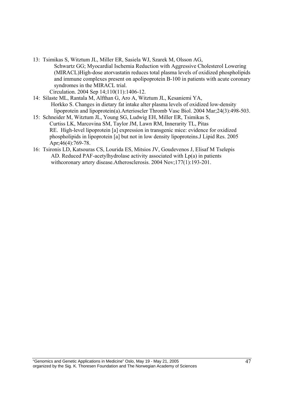13: Tsimikas S, Witztum JL, Miller ER, Sasiela WJ, Szarek M, Olsson AG, Schwartz GG; Myocardial Ischemia Reduction with Aggressive Cholesterol Lowering (MIRACL)High-dose atorvastatin reduces total plasma levels of oxidized phospholipids and immune complexes present on apolipoprotein B-100 in patients with acute coronary syndromes in the MIRACL trial.

Circulation. 2004 Sep 14;110(11):1406-12.

- 14: Silaste ML, Rantala M, Alfthan G, Aro A, Witztum JL, Kesaniemi YA, Horkko S. Changes in dietary fat intake alter plasma levels of oxidized low-density lipoprotein and lipoprotein(a).Arterioscler Thromb Vasc Biol. 2004 Mar;24(3):498-503.
- 15: Schneider M, Witztum JL, Young SG, Ludwig EH, Miller ER, Tsimikas S, Curtiss LK, Marcovina SM, Taylor JM, Lawn RM, Innerarity TL, Pitas RE. High-level lipoprotein [a] expression in transgenic mice: evidence for oxidized phospholipids in lipoprotein [a] but not in low density lipoproteins.J Lipid Res. 2005 Apr; 46(4): 769-78.
- 16: Tsironis LD, Katsouras CS, Lourida ES, Mitsios JV, Goudevenos J, Elisaf M Tselepis AD. Reduced PAF-acetylhydrolase activity associated with Lp(a) in patients withcoronary artery disease.Atherosclerosis. 2004 Nov;177(1):193-201.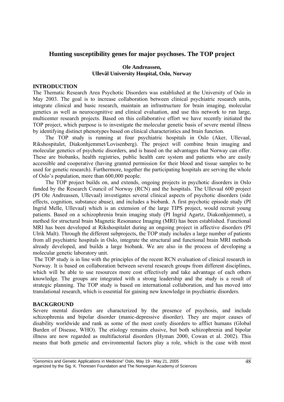# **Hunting susceptibility genes for major psychoses. The TOP project**

#### **Ole Andreassen, Ullevål University Hospital, Oslo, Norway**

#### **INTRODUCTION**

The Thematic Research Area Psychotic Disorders was established at the University of Oslo in May 2003. The goal is to increase collaboration between clinical psychiatric research units, integrate clinical and basic research, maintain an infrastructure for brain imaging, molecular genetics as well as neurocognitive and clinical evaluation, and use this network to run large, multicenter research projects. Based on this collaborative effort we have recently initiated the TOP project, which purpose is to investigate the molecular genetic basis of severe mental illness by identifying distinct phenotypes based on clinical characteristics and brain function.

The TOP study is running at four psychiatric hospitals in Oslo (Aker, Ullevaal, Rikshospitalet, Diakonhjemmet/Lovisenberg). The project will combine brain imaging and molecular genetics of psychotic disorders, and is based on the advantages that Norway can offer. These are biobanks, health registries, public health care system and patients who are easily accessible and cooperative (having granted permission for their blood and tissue samples to be used for genetic research). Furthermore, together the participating hospitals are serving the whole of Oslo's population, more than 600,000 people.

The TOP project builds on, and extends, ongoing projects in psychotic disorders in Oslo funded by the Research Council of Norway (RCN) and the hospitals. The Ullevaal 600 project (PI Ole Andreassen, Ullevaal) investigates several clinical aspects of psychotic disorders (side effects, cognition, substance abuse), and includes a biobank. A first psychotic episode study (PI Ingrid Melle, Ullevaal) which is an extension of the large TIPS project, would recruit young patients. Based on a schizophrenia brain imaging study (PI Ingrid Agartz, Diakonhjemmet), a method for structural brain Magnetic Resonance Imaging (MRI) has been established. Functional MRI has been developed at Rikshospitalet during an ongoing project in affective disorders (PI Ulrik Malt). Through the different subprojects, the TOP study includes a large number of patients from all psychiatric hospitals in Oslo, integrate the structural and functional brain MRI methods already developed, and builds a large biobank. We are also in the process of developing a molecular genetic laboratory unit.

 The TOP study is in line with the principles of the recent RCN evaluation of clinical research in Norway. It is based on collaboration between several research groups from different disciplines, which will be able to use resources more cost effectively and take advantage of each others knowledge. The groups are integrated with a strong leadership and the study is a result of strategic planning. The TOP study is based on international collaboration, and has moved into translational research, which is essential for gaining new knowledge in psychiatric disorders.

#### **BACKGROUND**

Severe mental disorders are characterized by the presence of psychosis, and include schizophrenia and bipolar disorder (manic-depressive disorder). They are major causes of disability worldwide and rank as some of the most costly disorders to afflict humans (Global Burden of Disease, WHO). The etiology remains elusive, but both schizophrenia and bipolar illness are now regarded as multifactorial disorders (Hyman 2000, Cowan et al. 2002). This means that both genetic and environmental factors play a role, which is the case with most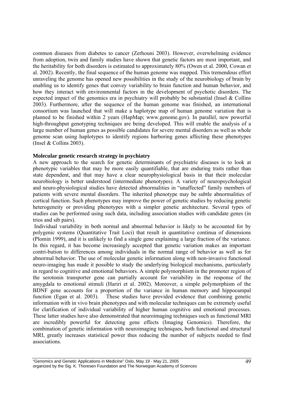common diseases from diabetes to cancer (Zerhouni 2003). However, overwhelming evidence from adoption, twin and family studies have shown that genetic factors are most important, and the heritability for both disorders is estimated to approximately 80% (Owen et al. 2000, Cowan et al. 2002). Recently, the final sequence of the human genome was mapped. This tremendous effort unraveling the genome has opened new possibilities in the study of the neurobiology of brain by enabling us to identify genes that convey variability to brain function and human behavior, and how they interact with environmental factors in the development of psychotic disorders. The expected impact of the genomics era in psychiatry will probably be substantial (Insel & Collins 2003). Furthermore, after the sequence of the human genome was finished, an international consortium was launched that will make a haplotype map of human genome variation that is planned to be finished within 2 years (HapMap; www.genome.gov). In parallel, new powerful high-throughput genotyping techniques are being developed. This will enable the analysis of a large number of human genes as possible candidates for severe mental disorders as well as whole genome scan using haplotypes to identify regions harboring genes affecting these phenotypes (Insel & Collins 2003).

#### **Molecular genetic research strategy in psychiatry**

A new approach to the search for genetic determinants of psychiatric diseases is to look at phenotypic variables that may be more easily quantifiable, that are enduring traits rather than state dependent, and that may have a clear neurophysiological basis in that their molecular neurobiology is better understood (intermediate phenotypes). A variety of neuropsychological and neuro-physiological studies have detected abnormalities in "unaffected" family members of patients with severe mental disorders. The inherited phenotype may be subtle abnormalities of cortical function. Such phenotypes may improve the power of genetic studies by reducing genetic heterogeneity or providing phenotypes with a simpler genetic architecture. Several types of studies can be performed using such data, including association studies with candidate genes (in trios and sib pairs).

 Individual variability in both normal and abnormal behavior is likely to be accounted for by polygenic systems (Quantitative Trait Loci) that result in quantitative continua of dimensions (Plomin 1999), and it is unlikely to find a single gene explaining a large fraction of the variance. In this regard, it has become increasingly accepted that genetic variation makes an important contri-bution to differences among individuals in the normal range of behavior as well as for abnormal behavior. The use of molecular genetic information along with non-invasive functional neuro-imaging has made it possible to study the underlying biological mechanisms, particularly in regard to cognitive and emotional behaviors. A simple polymorphism in the promoter region of the serotonin transporter gene can partially account for variability in the response of the amygdala to emotional stimuli (Hariri et al. 2002). Moreover, a simple polymorphism of the BDNF gene accounts for a proportion of the variance in human memory and hippocampal function (Egan et al. 2003). These studies have provided evidence that combining genetic information with in vivo brain phenotypes and with molecular techniques can be extremely useful for clarification of individual variability of higher human cognitive and emotional processes. These latter studies have also demonstrated that neuroimaging techniques such as functional MRI are incredibly powerful for detecting gene effects (Imaging Genomics). Therefore, the combination of genetic information with neuroimaging techniques, both functional and structural MRI, greatly increases statistical power thus reducing the number of subjects needed to find associations.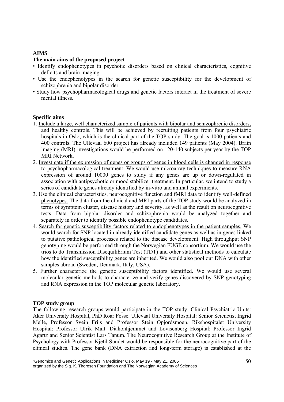## **AIMS**

### **The main aims of the proposed project**

- Identify endophenotypes in psychotic disorders based on clinical characteristics, cognitive deficits and brain imaging
- Use the endephenotypes in the search for genetic susceptibility for the development of schizophrenia and bipolar disorder
- Study how psychopharmacological drugs and genetic factors interact in the treatment of severe mental illness.

## **Specific aims**

- 1. Include a large, well characterized sample of patients with bipolar and schizophrenic disorders, and healthy controls. This will be achieved by recruiting patients from four psychiatric hospitals in Oslo, which is the clinical part of the TOP study. The goal is 1000 patients and 400 controls. The Ullevaal 600 project has already included 149 patients (May 2004). Brain imaging (MRI) investigations would be performed on 120-140 subjects per year by the TOP MRI Network.
- 2. Investigate if the expression of genes or groups of genes in blood cells is changed in response to psychopharmacological treatment. We would use microarray techniques to measure RNA expression of around 10000 genes to study if any genes are up or down-regulated in association with antipsychotic or mood stabilizer treatment. In particular, we intend to study a series of candidate genes already identified by in-vitro and animal experiments.
- 3. Use the clinical characteristics, neurocognitive function and fMRI data to identify well-defined phenotypes. The data from the clinical and MRI parts of the TOP study would be analyzed in terms of symptom cluster, disease history and severity, as well as the result on neurocognitive tests. Data from bipolar disorder and schizophrenia would be analyzed together and separately in order to identify possible endophenotype candidates.
- 4. Search for genetic susceptibility factors related to endophenotypes in the patient samples. We would search for SNP located in already identified candidate genes as well as in genes linked to putative pathological processes related to the disease development. High throughput SNP genotyping would be performed through the Norwegian FUGE consortium. We would use the trios to do Transmission Disequilibrium Test (TDT) and other statistical methods to calculate how the identified susceptibility genes are inherited. We would also pool our DNA with other samples abroad (Sweden, Denmark, Italy, USA).
- 5. Further characterize the genetic susceptibility factors identified. We would use several molecular genetic methods to characterize and verify genes discovered by SNP genotyping and RNA expression in the TOP molecular genetic laboratory.

## **TOP study group**

The following research groups would participate in the TOP study: Clinical Psychiatric Units: Aker University Hospital, PhD Roar Fosse. Ullevaal University Hospital: Senior Scienctist Ingrid Melle, Professor Svein Friis and Professor Stein Opjordsmoen. Rikshospitalet University Hospital: Professor Ulrik Malt. Diakonhjemmet and Lovisenberg Hospital: Professor Ingrid Agartz and Senior Scientist Lars Tanum. The Neurocognitive Research Group at the Institute of Psychology with Professor Kjetil Sundet would be responsible for the neurocognitive part of the clinical studies. The gene bank (DNA extraction and long-term storage) is established at the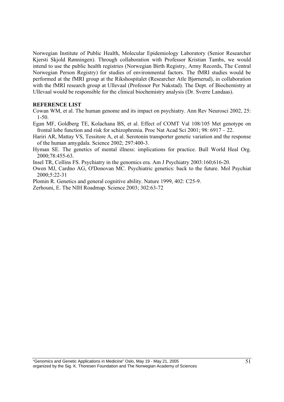Norwegian Institute of Public Health, Molecular Epidemiology Laboratory (Senior Researcher Kjersti Skjold Rønningen). Through collaboration with Professor Kristian Tambs, we would intend to use the public health registries (Norwegian Birth Registry, Army Records, The Central Norwegian Person Registry) for studies of environmental factors. The fMRI studies would be performed at the fMRI group at the Rikshospitalet (Researcher Atle Bjørnerud), in collaboration with the fMRI research group at Ullevaal (Professor Per Nakstad). The Dept. of Biochemistry at Ullevaal would be responsible for the clinical biochemistry analysis (Dr. Sverre Landaas).

#### **REFERENCE LIST**

Cowan WM, et al. The human genome and its impact on psychiatry. Ann Rev Neurosci 2002, 25: 1-50.

Egan MF, Goldberg TE, Kolachana BS, et al. Effect of COMT Val 108/105 Met genotype on frontal lobe function and risk for schizophrenia. Proc Nat Acad Sci 2001; 98: 6917 – 22.

Hariri AR, Mattay VS, Tessitore A, et al. Serotonin transporter genetic variation and the response of the human amygdala. Science 2002; 297:400-3.

Hyman SE. The genetics of mental illness: implications for practice. Bull World Heal Org. 2000;78:455-63.

Insel TR, Collins FS. Psychiatry in the genomics era. Am J Psychiatry 2003:160;616-20.

Owen MJ, Cardno AG, O'Donovan MC. Psychiatric genetics: back to the future. Mol Psychiat 2000;5:22-31

Plomin R. Genetics and general cognitive ability. Nature 1999, 402: C25-9.

Zerhouni, E. The NIH Roadmap. Science 2003; 302:63-72